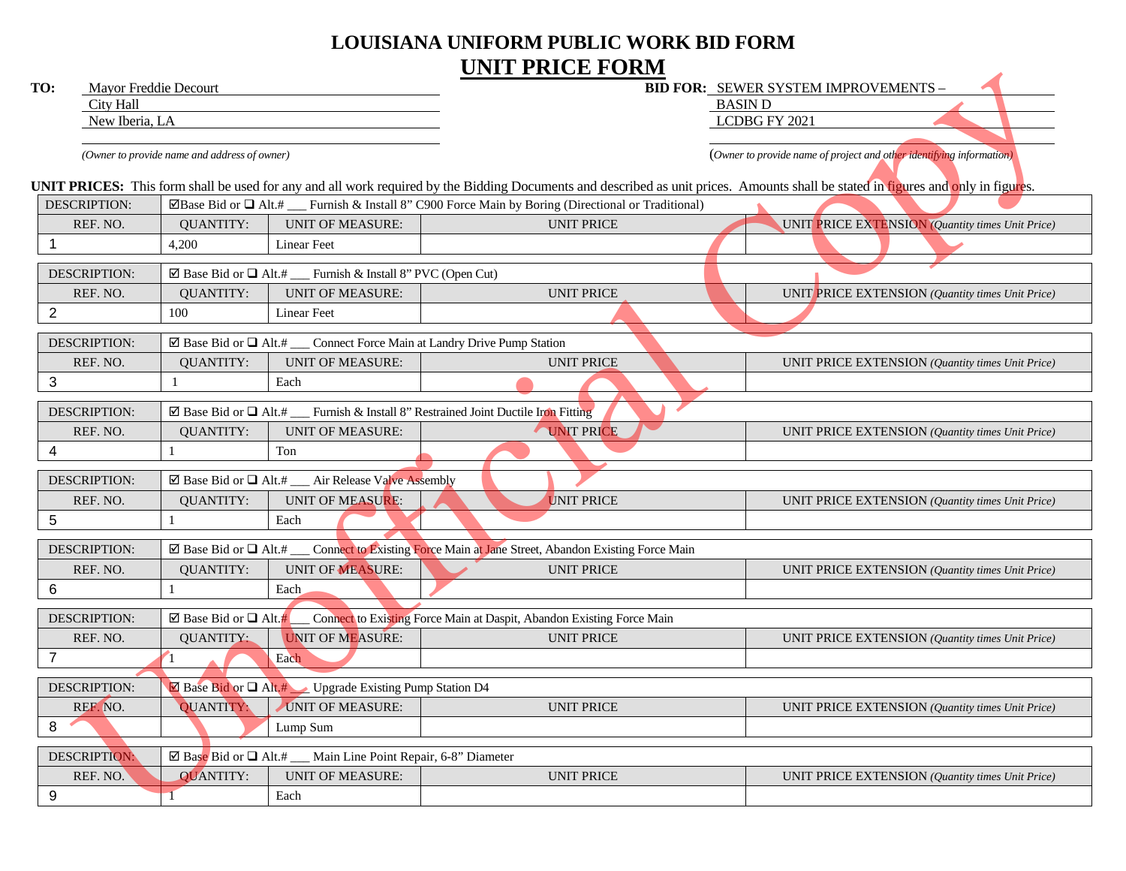## **LOUISIANA UNIFORM PUBLIC WORK BID FORM UNIT PRICE FORM**

| TO:                 | Mayor Freddie Decourt                                                                              |                                                                                          |                                                                                                                                                                                   | <b>BID FOR: SEWER SYSTEM IMPROVEMENTS -</b>                          |  |
|---------------------|----------------------------------------------------------------------------------------------------|------------------------------------------------------------------------------------------|-----------------------------------------------------------------------------------------------------------------------------------------------------------------------------------|----------------------------------------------------------------------|--|
| City Hall           |                                                                                                    |                                                                                          | <b>BASIN D</b>                                                                                                                                                                    |                                                                      |  |
|                     | New Iberia, LA                                                                                     |                                                                                          |                                                                                                                                                                                   | LCDBG FY 2021                                                        |  |
|                     | (Owner to provide name and address of owner)                                                       |                                                                                          |                                                                                                                                                                                   | (Owner to provide name of project and other identifying information) |  |
|                     |                                                                                                    |                                                                                          | UNIT PRICES: This form shall be used for any and all work required by the Bidding Documents and described as unit prices. Amounts shall be stated in figures and only in figures. |                                                                      |  |
| <b>DESCRIPTION:</b> |                                                                                                    |                                                                                          | $\Box$ Base Bid or $\Box$ Alt.# ___ Furnish & Install 8" C900 Force Main by Boring (Directional or Traditional)                                                                   |                                                                      |  |
| REF. NO.            | <b>QUANTITY:</b>                                                                                   | <b>UNIT OF MEASURE:</b>                                                                  | <b>UNIT PRICE</b>                                                                                                                                                                 | UNIT PRICE EXTENSION (Quantity times Unit Price)                     |  |
| $\overline{1}$      | 4,200                                                                                              | Linear Feet                                                                              |                                                                                                                                                                                   |                                                                      |  |
| <b>DESCRIPTION:</b> |                                                                                                    | $\boxtimes$ Base Bid or $\Box$ Alt.# __ Furnish & Install 8" PVC (Open Cut)              |                                                                                                                                                                                   |                                                                      |  |
| REF. NO.            | <b>QUANTITY:</b>                                                                                   | <b>UNIT OF MEASURE:</b>                                                                  | <b>UNIT PRICE</b>                                                                                                                                                                 | UNIT PRICE EXTENSION (Quantity times Unit Price)                     |  |
| $\overline{2}$      | 100                                                                                                | Linear Feet                                                                              |                                                                                                                                                                                   |                                                                      |  |
| <b>DESCRIPTION:</b> |                                                                                                    | $\boxtimes$ Base Bid or $\Box$ Alt.# ___ Connect Force Main at Landry Drive Pump Station |                                                                                                                                                                                   |                                                                      |  |
| REF. NO.            | <b>QUANTITY:</b>                                                                                   | <b>UNIT OF MEASURE:</b>                                                                  | <b>UNIT PRICE</b>                                                                                                                                                                 | UNIT PRICE EXTENSION (Quantity times Unit Price)                     |  |
| 3                   |                                                                                                    | Each                                                                                     |                                                                                                                                                                                   |                                                                      |  |
|                     | $\boxtimes$ Base Bid or $\Box$ Alt.# __ Furnish & Install 8" Restrained Joint Ductile Iron Fitting |                                                                                          |                                                                                                                                                                                   |                                                                      |  |
| DESCRIPTION:        |                                                                                                    |                                                                                          |                                                                                                                                                                                   |                                                                      |  |
| REF. NO.            | <b>QUANTITY:</b>                                                                                   | <b>UNIT OF MEASURE:</b>                                                                  | UNIT PRICE                                                                                                                                                                        | UNIT PRICE EXTENSION (Quantity times Unit Price)                     |  |
| 4                   | -1                                                                                                 | Ton                                                                                      |                                                                                                                                                                                   |                                                                      |  |
| <b>DESCRIPTION:</b> |                                                                                                    | $\boxtimes$ Base Bid or $\Box$ Alt.# __ Air Release Valve Assembly                       |                                                                                                                                                                                   |                                                                      |  |
| REF. NO.            | <b>QUANTITY:</b>                                                                                   | UNIT OF MEASURE:                                                                         | <b>UNIT PRICE</b>                                                                                                                                                                 | UNIT PRICE EXTENSION (Quantity times Unit Price)                     |  |
| 5                   |                                                                                                    | Each                                                                                     |                                                                                                                                                                                   |                                                                      |  |
| <b>DESCRIPTION:</b> |                                                                                                    |                                                                                          | ⊠ Base Bid or □ Alt.# ___ Connect to Existing Force Main at Jane Street, Abandon Existing Force Main                                                                              |                                                                      |  |
| REF. NO.            | <b>OUANTITY:</b>                                                                                   | <b>UNIT OF MEASURE:</b>                                                                  | <b>UNIT PRICE</b>                                                                                                                                                                 | UNIT PRICE EXTENSION (Quantity times Unit Price)                     |  |
| $\,6$               |                                                                                                    | Each                                                                                     |                                                                                                                                                                                   |                                                                      |  |
| <b>DESCRIPTION:</b> | $\boxtimes$ Base Bid or $\Box$ Alt.#                                                               |                                                                                          | Connect to Existing Force Main at Daspit, Abandon Existing Force Main                                                                                                             |                                                                      |  |
| REF. NO.            | <b>QUANTITY:</b>                                                                                   | <b>UNIT OF MEASURE:</b>                                                                  | <b>UNIT PRICE</b>                                                                                                                                                                 | UNIT PRICE EXTENSION (Quantity times Unit Price)                     |  |
| $\overline{7}$      |                                                                                                    | Each                                                                                     |                                                                                                                                                                                   |                                                                      |  |
| DESCRIPTION:        |                                                                                                    | ⊠ Base Bid or □ Alt.# Upgrade Existing Pump Station D4                                   |                                                                                                                                                                                   |                                                                      |  |
| REF. NO.            | <b>QUANTITY:</b>                                                                                   | <b>UNIT OF MEASURE:</b>                                                                  | <b>UNIT PRICE</b>                                                                                                                                                                 | UNIT PRICE EXTENSION (Quantity times Unit Price)                     |  |
| 8                   |                                                                                                    | Lump Sum                                                                                 |                                                                                                                                                                                   |                                                                      |  |
| <b>DESCRIPTION:</b> |                                                                                                    | $\boxtimes$ Base Bid or $\Box$ Alt.# __ Main Line Point Repair, 6-8" Diameter            |                                                                                                                                                                                   |                                                                      |  |
| REF. NO.            | <b>QUANTITY:</b>                                                                                   | <b>UNIT OF MEASURE:</b>                                                                  | <b>UNIT PRICE</b>                                                                                                                                                                 | UNIT PRICE EXTENSION (Quantity times Unit Price)                     |  |
| 9                   |                                                                                                    | Each                                                                                     |                                                                                                                                                                                   |                                                                      |  |
|                     |                                                                                                    |                                                                                          |                                                                                                                                                                                   |                                                                      |  |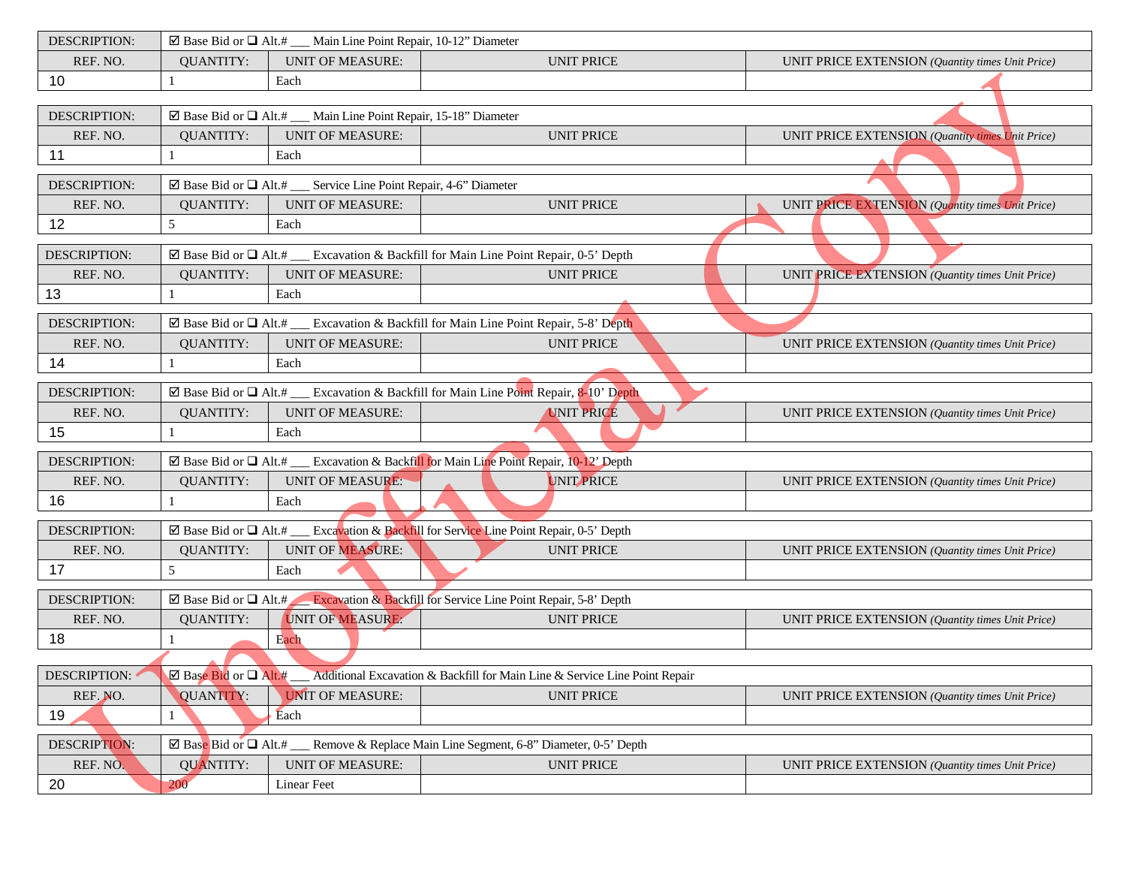| <b>DESCRIPTION:</b> |                            | $\boxtimes$ Base Bid or $\Box$ Alt.# __ Main Line Point Repair, 10-12" Diameter  |                                                                                                                     |                                                  |
|---------------------|----------------------------|----------------------------------------------------------------------------------|---------------------------------------------------------------------------------------------------------------------|--------------------------------------------------|
| REF. NO.            | <b>QUANTITY:</b>           | <b>UNIT OF MEASURE:</b>                                                          | <b>UNIT PRICE</b>                                                                                                   | UNIT PRICE EXTENSION (Quantity times Unit Price) |
| 10                  |                            | Each                                                                             |                                                                                                                     |                                                  |
|                     |                            |                                                                                  |                                                                                                                     |                                                  |
| <b>DESCRIPTION:</b> |                            | $\boxtimes$ Base Bid or $\Box$ Alt.# ___ Main Line Point Repair, 15-18" Diameter |                                                                                                                     |                                                  |
| REF. NO.            | <b>QUANTITY:</b>           | <b>UNIT OF MEASURE:</b>                                                          | <b>UNIT PRICE</b>                                                                                                   | UNIT PRICE EXTENSION (Quantity times Unit Price) |
| 11                  |                            | Each                                                                             |                                                                                                                     |                                                  |
| <b>DESCRIPTION:</b> |                            | $\boxtimes$ Base Bid or $\Box$ Alt.# __ Service Line Point Repair, 4-6" Diameter |                                                                                                                     |                                                  |
| REF. NO.            | <b>QUANTITY:</b>           | <b>UNIT OF MEASURE:</b>                                                          | <b>UNIT PRICE</b>                                                                                                   | UNIT PRICE EXTENSION (Quantity times Unit Price) |
| 12                  | 5                          | Each                                                                             |                                                                                                                     |                                                  |
|                     |                            |                                                                                  |                                                                                                                     |                                                  |
| <b>DESCRIPTION:</b> |                            |                                                                                  | ⊠ Base Bid or □ Alt.# __ Excavation & Backfill for Main Line Point Repair, 0-5' Depth                               |                                                  |
| REF. NO.            | <b>QUANTITY:</b>           | <b>UNIT OF MEASURE:</b>                                                          | <b>UNIT PRICE</b>                                                                                                   | UNIT PRICE EXTENSION (Quantity times Unit Price) |
| 13                  |                            | Each                                                                             |                                                                                                                     |                                                  |
| <b>DESCRIPTION:</b> |                            |                                                                                  | $\boxtimes$ Base Bid or $\Box$ Alt.# __ Excavation & Backfill for Main Line Point Repair, 5-8' Depth                |                                                  |
| REF. NO.            | <b>QUANTITY:</b>           | <b>UNIT OF MEASURE:</b>                                                          | <b>UNIT PRICE</b>                                                                                                   | UNIT PRICE EXTENSION (Quantity times Unit Price) |
| 14                  |                            | Each                                                                             |                                                                                                                     |                                                  |
| <b>DESCRIPTION:</b> |                            |                                                                                  | ⊠ Base Bid or $\Box$ Alt.# ___ Excavation & Backfill for Main Line Point Repair, 8-10' Depth                        |                                                  |
| REF. NO.            | <b>QUANTITY:</b>           | <b>UNIT OF MEASURE:</b>                                                          | <b>UNIT PRICE</b>                                                                                                   | UNIT PRICE EXTENSION (Quantity times Unit Price) |
| 15                  |                            | Each                                                                             |                                                                                                                     |                                                  |
|                     |                            |                                                                                  |                                                                                                                     |                                                  |
| <b>DESCRIPTION:</b> |                            |                                                                                  | ⊠ Base Bid or $\Box$ Alt.# ___ Excavation & Backfill for Main Line Point Repair, 10-12' Depth                       |                                                  |
| REF. NO.            | <b>QUANTITY:</b>           | <b>UNIT OF MEASURE:</b>                                                          | <b>UNIT PRICE</b>                                                                                                   | UNIT PRICE EXTENSION (Quantity times Unit Price) |
| 16                  |                            | Each                                                                             |                                                                                                                     |                                                  |
| DESCRIPTION:        |                            |                                                                                  | ⊠ Base Bid or Q Alt.# __ Excavation & Backfill for Service Line Point Repair, 0-5' Depth                            |                                                  |
| REF. NO.            | <b>QUANTITY:</b>           | <b>UNIT OF MEASURE:</b>                                                          | <b>UNIT PRICE</b>                                                                                                   | UNIT PRICE EXTENSION (Quantity times Unit Price) |
| 17                  | 5                          | Each                                                                             |                                                                                                                     |                                                  |
| <b>DESCRIPTION:</b> |                            |                                                                                  | $\boxtimes$ Base Bid or $\Box$ Alt.# Excavation & Backfill for Service Line Point Repair, 5-8' Depth                |                                                  |
| REF. NO.            | <b>QUANTITY:</b>           | UNIT OF MEASURE:                                                                 | <b>UNIT PRICE</b>                                                                                                   | UNIT PRICE EXTENSION (Quantity times Unit Price) |
| 18                  |                            | Each                                                                             |                                                                                                                     |                                                  |
|                     |                            |                                                                                  |                                                                                                                     |                                                  |
| DESCRIPTION:        |                            |                                                                                  | $\boxtimes$ Base Bid or $\Box$ Alt.# ___ Additional Excavation & Backfill for Main Line & Service Line Point Repair |                                                  |
| REF. NO.            | <b>QUANTITY:</b>           | <b>UNIT OF MEASURE:</b>                                                          | <b>UNIT PRICE</b>                                                                                                   | UNIT PRICE EXTENSION (Quantity times Unit Price) |
| 19                  |                            | Each                                                                             |                                                                                                                     |                                                  |
|                     |                            |                                                                                  |                                                                                                                     |                                                  |
| DESCRIPTION:        | ⊠ Base Bid or $\Box$ Alt.# |                                                                                  | Remove & Replace Main Line Segment, 6-8" Diameter, 0-5' Depth                                                       |                                                  |
| REF. NO.            | <b>QUANTITY:</b>           | <b>UNIT OF MEASURE:</b>                                                          | <b>UNIT PRICE</b>                                                                                                   | UNIT PRICE EXTENSION (Quantity times Unit Price) |
| 20                  | 200                        | <b>Linear Feet</b>                                                               |                                                                                                                     |                                                  |
|                     |                            |                                                                                  |                                                                                                                     |                                                  |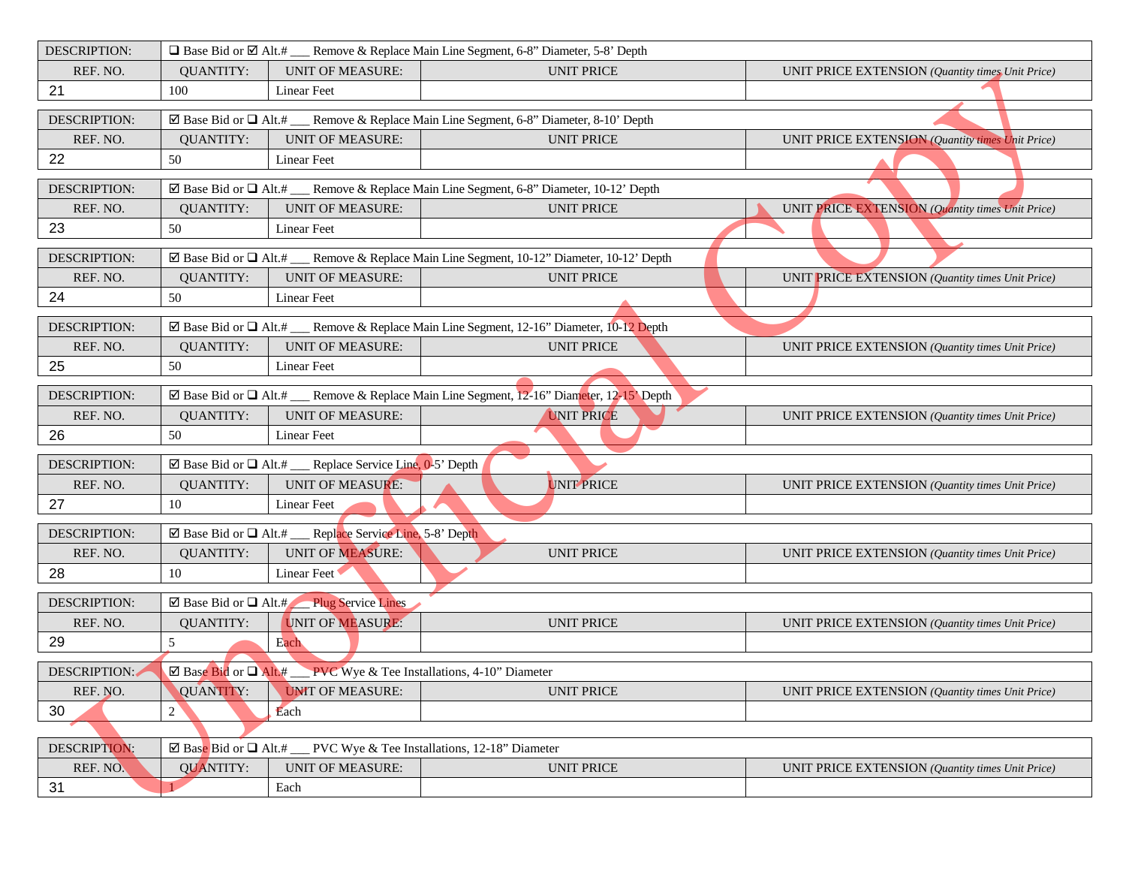| DESCRIPTION:        | $\Box$ Base Bid or $\Box$ Alt.# ____ Remove & Replace Main Line Segment, 6-8" Diameter, 5-8' Depth |                                                                                  |                                                                                                              |                                                  |
|---------------------|----------------------------------------------------------------------------------------------------|----------------------------------------------------------------------------------|--------------------------------------------------------------------------------------------------------------|--------------------------------------------------|
| REF. NO.            | <b>OUANTITY:</b>                                                                                   | <b>UNIT OF MEASURE:</b>                                                          | <b>UNIT PRICE</b>                                                                                            | UNIT PRICE EXTENSION (Quantity times Unit Price) |
| 21                  | 100                                                                                                | <b>Linear Feet</b>                                                               |                                                                                                              |                                                  |
| DESCRIPTION:        |                                                                                                    |                                                                                  | $\boxtimes$ Base Bid or $\Box$ Alt.# ____ Remove & Replace Main Line Segment, 6-8" Diameter, 8-10' Depth     |                                                  |
| REF. NO.            | <b>QUANTITY:</b>                                                                                   | <b>UNIT OF MEASURE:</b>                                                          | <b>UNIT PRICE</b>                                                                                            | UNIT PRICE EXTENSION (Quantity times Unit Price) |
| 22                  | 50                                                                                                 | Linear Feet                                                                      |                                                                                                              |                                                  |
| DESCRIPTION:        |                                                                                                    |                                                                                  | $\boxtimes$ Base Bid or $\Box$ Alt.# _____ Remove & Replace Main Line Segment, 6-8" Diameter, 10-12' Depth   |                                                  |
| REF. NO.            | <b>QUANTITY:</b>                                                                                   | <b>UNIT OF MEASURE:</b>                                                          | <b>UNIT PRICE</b>                                                                                            | UNIT PRICE EXTENSION (Quantity times Unit Price) |
| 23                  | 50                                                                                                 | <b>Linear Feet</b>                                                               |                                                                                                              |                                                  |
| <b>DESCRIPTION:</b> |                                                                                                    |                                                                                  | $\boxtimes$ Base Bid or $\Box$ Alt.# _____ Remove & Replace Main Line Segment, 10-12" Diameter, 10-12" Depth |                                                  |
| REF. NO.            | <b>QUANTITY:</b>                                                                                   | <b>UNIT OF MEASURE:</b>                                                          | <b>UNIT PRICE</b>                                                                                            | UNIT PRICE EXTENSION (Quantity times Unit Price) |
| 24                  | 50                                                                                                 | Linear Feet                                                                      |                                                                                                              |                                                  |
| <b>DESCRIPTION:</b> |                                                                                                    |                                                                                  | ⊠ Base Bid or □ Alt.# __ Remove & Replace Main Line Segment, 12-16" Diameter, 10-12 Depth                    |                                                  |
| REF. NO.            | <b>QUANTITY:</b>                                                                                   | <b>UNIT OF MEASURE:</b>                                                          | <b>UNIT PRICE</b>                                                                                            | UNIT PRICE EXTENSION (Quantity times Unit Price) |
| 25                  | 50                                                                                                 | Linear Feet                                                                      |                                                                                                              |                                                  |
| <b>DESCRIPTION:</b> |                                                                                                    |                                                                                  | ⊠ Base Bid or $\Box$ Alt.# ___ Remove & Replace Main Line Segment, 12-16" Diameter, 12-15' Depth             |                                                  |
| REF. NO.            | <b>QUANTITY:</b>                                                                                   | <b>UNIT OF MEASURE:</b>                                                          | <b>UNIT PRICE</b>                                                                                            | UNIT PRICE EXTENSION (Quantity times Unit Price) |
| 26                  | 50                                                                                                 | <b>Linear Feet</b>                                                               |                                                                                                              |                                                  |
| <b>DESCRIPTION:</b> |                                                                                                    | ⊠ Base Bid or $\Box$ Alt.# ___ Replace Service Line, 0-5' Depth                  |                                                                                                              |                                                  |
| REF. NO.            | <b>QUANTITY:</b>                                                                                   | <b>UNIT OF MEASURE:</b>                                                          | UNIT PRICE                                                                                                   | UNIT PRICE EXTENSION (Quantity times Unit Price) |
| 27                  | 10                                                                                                 | <b>Linear Feet</b>                                                               |                                                                                                              |                                                  |
| <b>DESCRIPTION:</b> |                                                                                                    | ⊠ Base Bid or Q Alt.# __ Replace Service Line, 5-8' Depth                        |                                                                                                              |                                                  |
| REF. NO.            | <b>QUANTITY:</b>                                                                                   | <b>UNIT OF MEASURE:</b>                                                          | <b>UNIT PRICE</b>                                                                                            | UNIT PRICE EXTENSION (Quantity times Unit Price) |
| 28                  | 10                                                                                                 | Linear Feet                                                                      |                                                                                                              |                                                  |
| DESCRIPTION:        |                                                                                                    | ⊠ Base Bid or Q Alt.# Plug Service Lines                                         |                                                                                                              |                                                  |
| REF. NO.            | <b>QUANTITY:</b>                                                                                   | UNIT OF MEASURE:                                                                 | <b>UNIT PRICE</b>                                                                                            | UNIT PRICE EXTENSION (Quantity times Unit Price) |
| 29                  | 5                                                                                                  | Each                                                                             |                                                                                                              |                                                  |
| DESCRIPTION:        |                                                                                                    | $\boxtimes$ Base Bid or $\Box$ Alt.# PVC Wye & Tee Installations, 4-10" Diameter |                                                                                                              |                                                  |
| REF. NO.            | <b>QUANTITY:</b>                                                                                   | <b>UNIT OF MEASURE:</b>                                                          | <b>UNIT PRICE</b>                                                                                            | UNIT PRICE EXTENSION (Quantity times Unit Price) |
| 30                  | 2                                                                                                  | Each                                                                             |                                                                                                              |                                                  |
|                     |                                                                                                    |                                                                                  |                                                                                                              |                                                  |
| DESCRIPTION:        | $\boxtimes$ Base Bid or $\Box$ Alt.#                                                               |                                                                                  | PVC Wye & Tee Installations, 12-18" Diameter                                                                 |                                                  |
| REF. NO.            | <b>QUANTITY:</b>                                                                                   | <b>UNIT OF MEASURE:</b>                                                          | <b>UNIT PRICE</b>                                                                                            | UNIT PRICE EXTENSION (Quantity times Unit Price) |
| 31                  |                                                                                                    | Each                                                                             |                                                                                                              |                                                  |
|                     |                                                                                                    |                                                                                  |                                                                                                              |                                                  |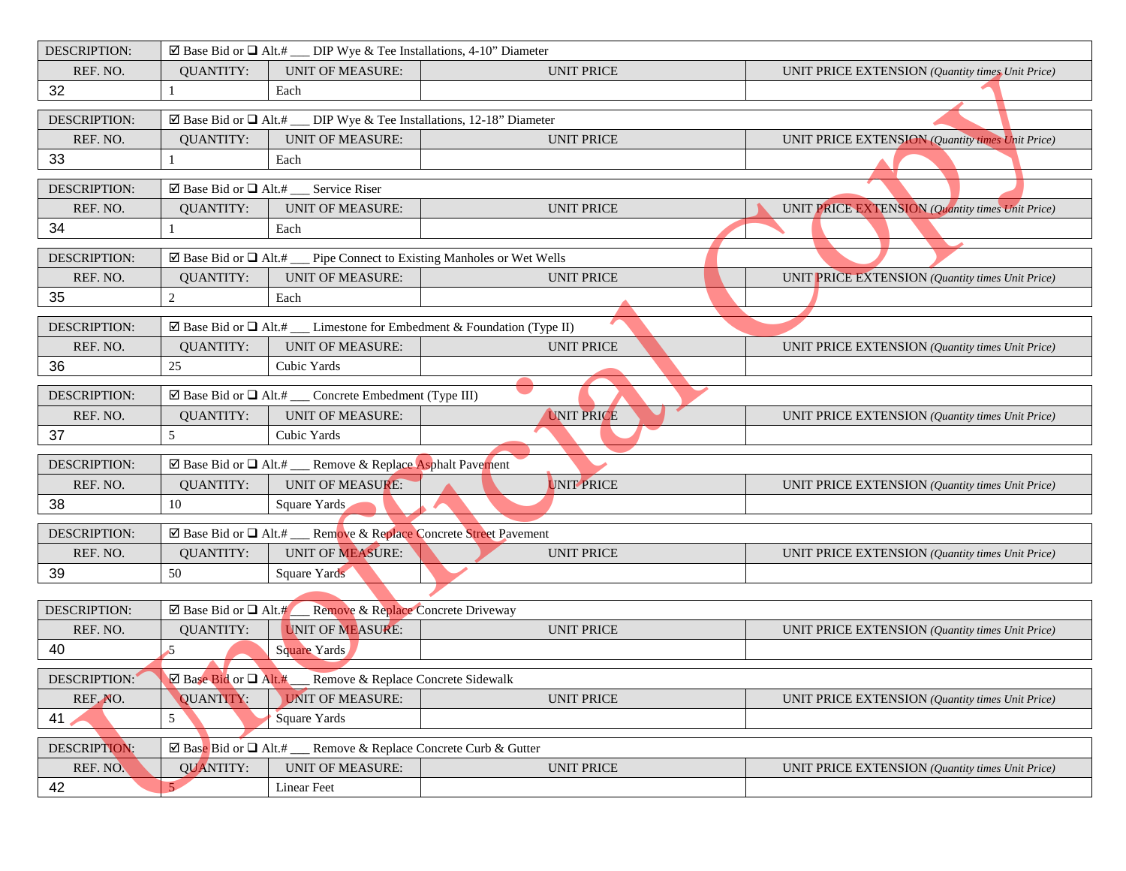| DESCRIPTION:                    |                                                          | $\boxtimes$ Base Bid or $\Box$ Alt.# ___ DIP Wye & Tee Installations, 4-10" Diameter |                                                                                         |                                                  |
|---------------------------------|----------------------------------------------------------|--------------------------------------------------------------------------------------|-----------------------------------------------------------------------------------------|--------------------------------------------------|
| REF. NO.                        | <b>QUANTITY:</b>                                         | <b>UNIT OF MEASURE:</b>                                                              | <b>UNIT PRICE</b>                                                                       | UNIT PRICE EXTENSION (Quantity times Unit Price) |
| 32                              |                                                          | Each                                                                                 |                                                                                         |                                                  |
| DESCRIPTION:                    |                                                          | ⊠ Base Bid or $\Box$ Alt.# ___ DIP Wye & Tee Installations, 12-18" Diameter          |                                                                                         |                                                  |
| REF. NO.                        | <b>QUANTITY:</b>                                         | <b>UNIT OF MEASURE:</b>                                                              | <b>UNIT PRICE</b>                                                                       | UNIT PRICE EXTENSION (Quantity times Unit Price) |
| 33                              | 1                                                        | Each                                                                                 |                                                                                         |                                                  |
| <b>DESCRIPTION:</b>             |                                                          | Service Riser                                                                        |                                                                                         |                                                  |
| REF. NO.                        | <b>QUANTITY:</b>                                         | <b>UNIT OF MEASURE:</b>                                                              | <b>UNIT PRICE</b>                                                                       | UNIT PRICE EXTENSION (Quantity times Unit Price) |
| 34                              | 1                                                        | Each                                                                                 |                                                                                         |                                                  |
| <b>DESCRIPTION:</b>             | ⊠ Base Bid or $\Box$ Alt.#                               |                                                                                      | Pipe Connect to Existing Manholes or Wet Wells                                          |                                                  |
| REF. NO.                        | <b>QUANTITY:</b>                                         | <b>UNIT OF MEASURE:</b>                                                              | <b>UNIT PRICE</b>                                                                       | UNIT PRICE EXTENSION (Quantity times Unit Price) |
| 35                              | $\sqrt{2}$                                               | Each                                                                                 |                                                                                         |                                                  |
| <b>DESCRIPTION:</b>             |                                                          |                                                                                      | $\boxtimes$ Base Bid or $\Box$ Alt.# ___ Limestone for Embedment & Foundation (Type II) |                                                  |
| REF. NO.                        | <b>QUANTITY:</b>                                         | <b>UNIT OF MEASURE:</b>                                                              | <b>UNIT PRICE</b>                                                                       | UNIT PRICE EXTENSION (Quantity times Unit Price) |
| 36                              | 25                                                       | Cubic Yards                                                                          |                                                                                         |                                                  |
| DESCRIPTION:                    |                                                          | $\boxtimes$ Base Bid or $\Box$ Alt.# ___ Concrete Embedment (Type III)               |                                                                                         |                                                  |
| REF. NO.                        | <b>QUANTITY:</b>                                         | <b>UNIT OF MEASURE:</b>                                                              | <b>UNIT PRICE</b>                                                                       | UNIT PRICE EXTENSION (Quantity times Unit Price) |
| 37                              | 5                                                        | Cubic Yards                                                                          |                                                                                         |                                                  |
| <b>DESCRIPTION:</b>             |                                                          | ⊠ Base Bid or Q Alt.# __ Remove & Replace Asphalt Pavement                           |                                                                                         |                                                  |
| REF. NO.                        | <b>QUANTITY:</b>                                         | <b>UNIT OF MEASURE:</b>                                                              | UNIT PRICE                                                                              | UNIT PRICE EXTENSION (Quantity times Unit Price) |
| 38                              | 10                                                       | Square Yards                                                                         |                                                                                         |                                                  |
| DESCRIPTION:                    |                                                          | ⊠ Base Bid or Q Alt.# ___ Remove & Replace Concrete Street Pavement                  |                                                                                         |                                                  |
| REF. NO.                        | <b>QUANTITY:</b>                                         | UNIT OF MEASURE:                                                                     | <b>UNIT PRICE</b>                                                                       | UNIT PRICE EXTENSION (Quantity times Unit Price) |
| 39                              | 50                                                       | Square Yards                                                                         |                                                                                         |                                                  |
|                                 |                                                          |                                                                                      |                                                                                         |                                                  |
| <b>DESCRIPTION:</b><br>REF. NO. | $\boxtimes$ Base Bid or $\Box$ Alt.#<br><b>QUANTITY:</b> | Remove & Replace Concrete Driveway<br>UNIT OF MEASURE:                               | <b>UNIT PRICE</b>                                                                       |                                                  |
| 40                              | $\mathcal{L}$                                            | Square Yards                                                                         |                                                                                         | UNIT PRICE EXTENSION (Quantity times Unit Price) |
|                                 |                                                          |                                                                                      |                                                                                         |                                                  |
| DESCRIPTION:                    |                                                          | $\boxtimes$ Base Bid or $\Box$ Alt.# Remove & Replace Concrete Sidewalk              |                                                                                         |                                                  |
| REF. NO.                        | QUANTITY:                                                | <b>UNIT OF MEASURE:</b>                                                              | <b>UNIT PRICE</b>                                                                       | UNIT PRICE EXTENSION (Quantity times Unit Price) |
| 41                              | 5                                                        | Square Yards                                                                         |                                                                                         |                                                  |
| DESCRIPTION:                    |                                                          | $\boxtimes$ Base Bid or $\Box$ Alt.# ___ Remove & Replace Concrete Curb & Gutter     |                                                                                         |                                                  |
| REF. NO.                        | <b>QUANTITY:</b>                                         | <b>UNIT OF MEASURE:</b>                                                              | <b>UNIT PRICE</b>                                                                       | UNIT PRICE EXTENSION (Quantity times Unit Price) |
| 42                              | 5 <sub>1</sub>                                           | Linear Feet                                                                          |                                                                                         |                                                  |
|                                 |                                                          |                                                                                      |                                                                                         |                                                  |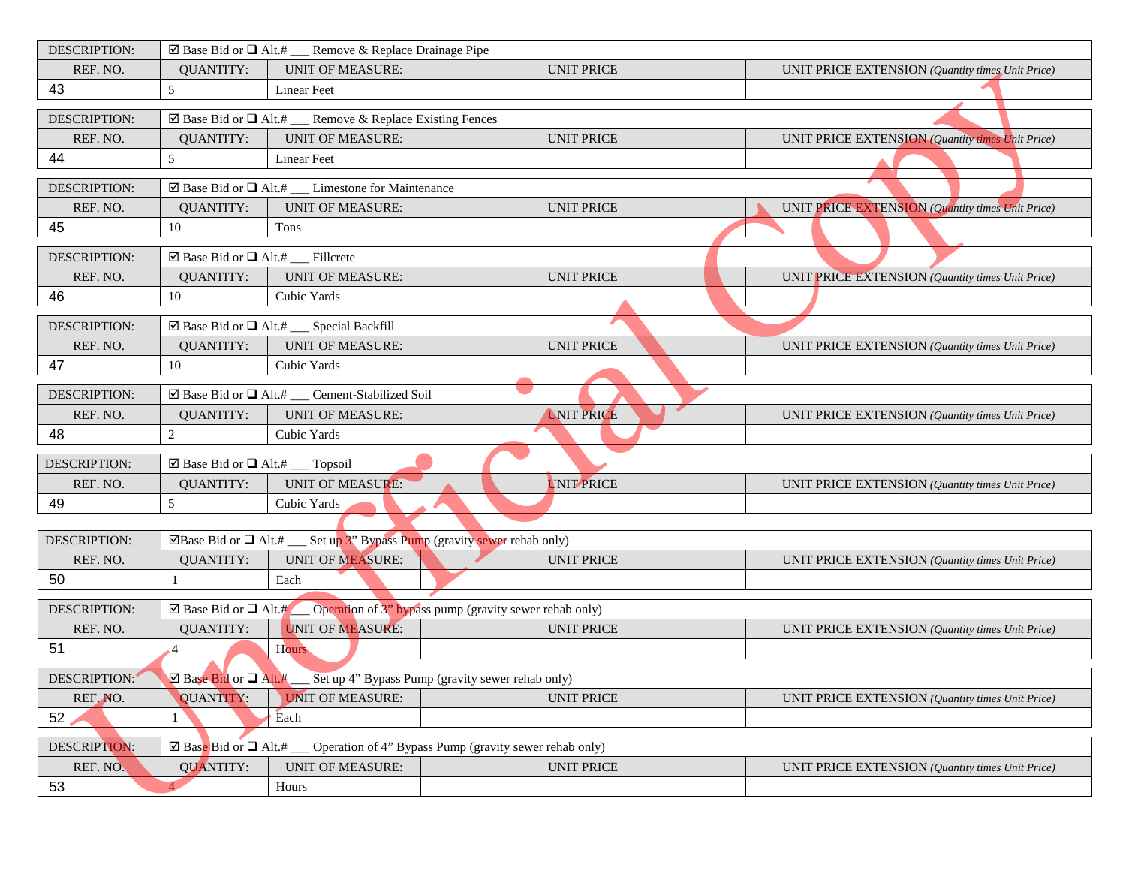| DESCRIPTION:        |                                                 | $\boxtimes$ Base Bid or $\Box$ Alt.# __ Remove & Replace Drainage Pipe         |                                                                                                 |                                                  |
|---------------------|-------------------------------------------------|--------------------------------------------------------------------------------|-------------------------------------------------------------------------------------------------|--------------------------------------------------|
| REF. NO.            | <b>QUANTITY:</b>                                | <b>UNIT OF MEASURE:</b>                                                        | <b>UNIT PRICE</b>                                                                               | UNIT PRICE EXTENSION (Quantity times Unit Price) |
| 43                  | 5                                               | <b>Linear Feet</b>                                                             |                                                                                                 |                                                  |
| DESCRIPTION:        |                                                 | $\boxtimes$ Base Bid or $\Box$ Alt.# __ Remove & Replace Existing Fences       |                                                                                                 |                                                  |
| REF. NO.            | <b>QUANTITY:</b>                                | <b>UNIT OF MEASURE:</b>                                                        | <b>UNIT PRICE</b>                                                                               | UNIT PRICE EXTENSION (Quantity times Unit Price) |
| 44                  | 5                                               | Linear Feet                                                                    |                                                                                                 |                                                  |
| <b>DESCRIPTION:</b> |                                                 | $\boxtimes$ Base Bid or $\Box$ Alt.# __ Limestone for Maintenance              |                                                                                                 |                                                  |
| REF. NO.            | <b>QUANTITY:</b>                                | <b>UNIT OF MEASURE:</b>                                                        | <b>UNIT PRICE</b>                                                                               | UNIT PRICE EXTENSION (Quantity times Unit Price) |
| 45                  | 10                                              | Tons                                                                           |                                                                                                 |                                                  |
| <b>DESCRIPTION:</b> | ⊠ Base Bid or $\Box$ Alt.# ___ Fillcrete        |                                                                                |                                                                                                 |                                                  |
| REF. NO.            | <b>QUANTITY:</b>                                | <b>UNIT OF MEASURE:</b>                                                        | <b>UNIT PRICE</b>                                                                               | UNIT PRICE EXTENSION (Quantity times Unit Price) |
| 46                  | 10                                              | Cubic Yards                                                                    |                                                                                                 |                                                  |
| DESCRIPTION:        |                                                 | ⊠ Base Bid or $\Box$ Alt.# ___ Special Backfill                                |                                                                                                 |                                                  |
| REF. NO.            | <b>QUANTITY:</b>                                | <b>UNIT OF MEASURE:</b>                                                        | <b>UNIT PRICE</b>                                                                               | UNIT PRICE EXTENSION (Quantity times Unit Price) |
| 47                  | 10                                              | Cubic Yards                                                                    |                                                                                                 |                                                  |
| <b>DESCRIPTION:</b> |                                                 | $\boxtimes$ Base Bid or $\Box$ Alt.# ___ Cement-Stabilized Soil                |                                                                                                 |                                                  |
| REF. NO.            | <b>QUANTITY:</b>                                | <b>UNIT OF MEASURE:</b>                                                        | <b>UNIT PRICE</b>                                                                               | UNIT PRICE EXTENSION (Quantity times Unit Price) |
| 48                  | $\sqrt{2}$                                      | Cubic Yards                                                                    |                                                                                                 |                                                  |
| <b>DESCRIPTION:</b> | $\boxtimes$ Base Bid or $\Box$ Alt.# __ Topsoil |                                                                                |                                                                                                 |                                                  |
| REF. NO.            | <b>QUANTITY:</b>                                | <b>UNIT OF MEASURE:</b>                                                        | UNIT PRICE                                                                                      | UNIT PRICE EXTENSION (Quantity times Unit Price) |
| 49                  | 5                                               | Cubic Yards                                                                    |                                                                                                 |                                                  |
|                     |                                                 |                                                                                |                                                                                                 |                                                  |
| <b>DESCRIPTION:</b> |                                                 | ⊠Base Bid or $\Box$ Alt.# ___ Set up 3" Bypass Pump (gravity sewer rehab only) |                                                                                                 |                                                  |
| REF. NO.            | <b>QUANTITY:</b>                                | <b>UNIT OF MEASURE:</b>                                                        | <b>UNIT PRICE</b>                                                                               | UNIT PRICE EXTENSION (Quantity times Unit Price) |
| 50                  |                                                 | Each                                                                           |                                                                                                 |                                                  |
| DESCRIPTION:        | ⊠ Base Bid or $\Box$ Alt.#                      |                                                                                | Operation of 3" bypass pump (gravity sewer rehab only)                                          |                                                  |
| REF. NO.            | <b>QUANTITY:</b>                                | <b>UNIT OF MEASURE:</b>                                                        | <b>UNIT PRICE</b>                                                                               | UNIT PRICE EXTENSION (Quantity times Unit Price) |
| 51                  | $\cdot$ 4                                       | Hours                                                                          |                                                                                                 |                                                  |
| DESCRIPTION:        |                                                 |                                                                                | Base Bid or □ Alt.# ___ Set up 4" Bypass Pump (gravity sewer rehab only)                        |                                                  |
| REF. NO.            | QUANTITY:                                       | <b>UNIT OF MEASURE:</b>                                                        | <b>UNIT PRICE</b>                                                                               | UNIT PRICE EXTENSION (Quantity times Unit Price) |
| 52                  | 1                                               | Each                                                                           |                                                                                                 |                                                  |
| DESCRIPTION:        |                                                 |                                                                                | $\boxtimes$ Base Bid or $\Box$ Alt.# ___ Operation of 4" Bypass Pump (gravity sewer rehab only) |                                                  |
| REF. NO.            | <b>QUANTITY:</b>                                | <b>UNIT OF MEASURE:</b>                                                        | <b>UNIT PRICE</b>                                                                               | UNIT PRICE EXTENSION (Quantity times Unit Price) |
| 53                  |                                                 | Hours                                                                          |                                                                                                 |                                                  |
|                     |                                                 |                                                                                |                                                                                                 |                                                  |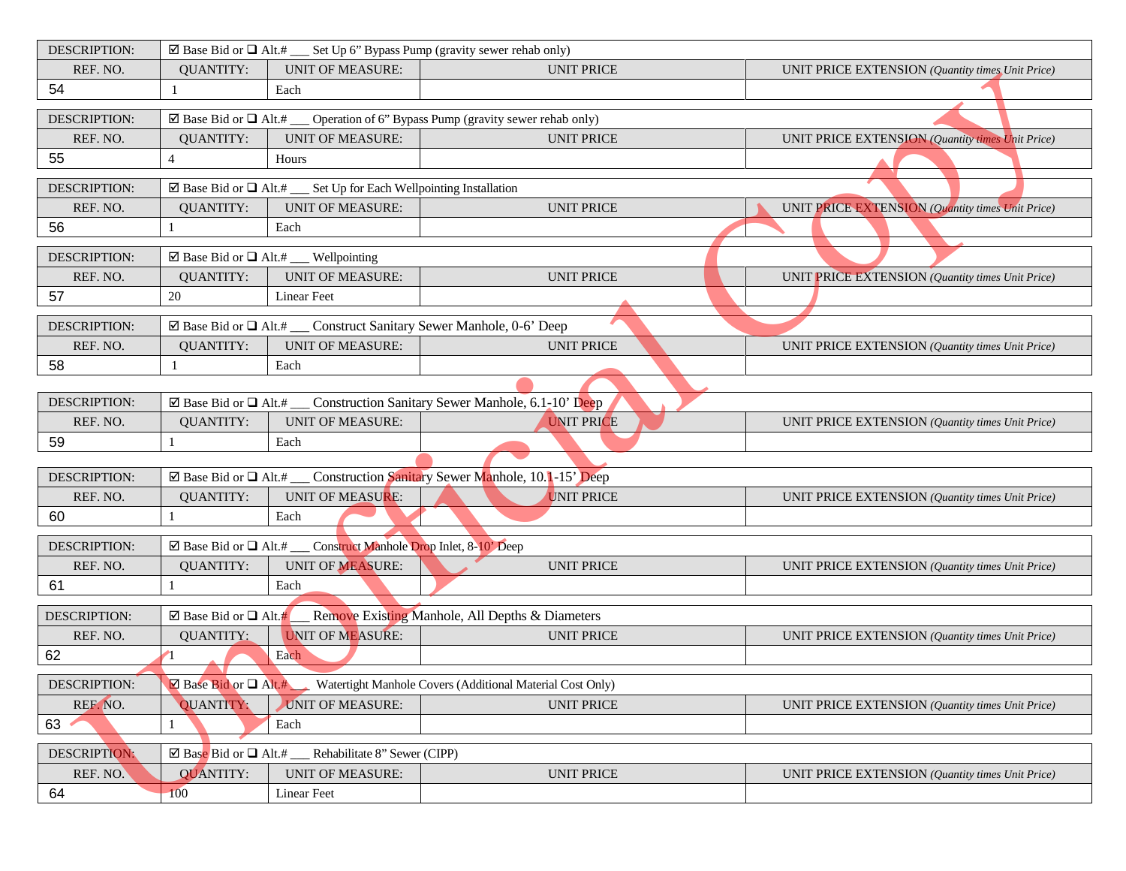| <b>DESCRIPTION:</b> |                                          | $\boxtimes$ Base Bid or $\Box$ Alt.# __ Set Up 6" Bypass Pump (gravity sewer rehab only) |                                                                                                 |                                                  |
|---------------------|------------------------------------------|------------------------------------------------------------------------------------------|-------------------------------------------------------------------------------------------------|--------------------------------------------------|
| REF. NO.            | <b>QUANTITY:</b>                         | <b>UNIT OF MEASURE:</b>                                                                  | <b>UNIT PRICE</b>                                                                               | UNIT PRICE EXTENSION (Quantity times Unit Price) |
| 54                  | 1                                        | Each                                                                                     |                                                                                                 |                                                  |
| <b>DESCRIPTION:</b> |                                          |                                                                                          | $\boxtimes$ Base Bid or $\Box$ Alt.# ___ Operation of 6" Bypass Pump (gravity sewer rehab only) |                                                  |
| REF. NO.            | <b>QUANTITY:</b>                         | <b>UNIT OF MEASURE:</b>                                                                  | <b>UNIT PRICE</b>                                                                               | UNIT PRICE EXTENSION (Quantity times Unit Price) |
| 55                  | $\overline{4}$                           | Hours                                                                                    |                                                                                                 |                                                  |
| <b>DESCRIPTION:</b> |                                          | $\boxtimes$ Base Bid or $\Box$ Alt.# __ Set Up for Each Wellpointing Installation        |                                                                                                 |                                                  |
| REF. NO.            | <b>QUANTITY:</b>                         | <b>UNIT OF MEASURE:</b>                                                                  | <b>UNIT PRICE</b>                                                                               | UNIT PRICE EXTENSION (Quantity times Unit Price) |
| 56                  |                                          | Each                                                                                     |                                                                                                 |                                                  |
| DESCRIPTION:        |                                          | ⊠ Base Bid or $\Box$ Alt.# ___ Wellpointing                                              |                                                                                                 |                                                  |
| REF. NO.            | <b>QUANTITY:</b>                         | <b>UNIT OF MEASURE:</b>                                                                  | <b>UNIT PRICE</b>                                                                               | UNIT PRICE EXTENSION (Quantity times Unit Price) |
| 57                  | 20                                       | Linear Feet                                                                              |                                                                                                 |                                                  |
| <b>DESCRIPTION:</b> |                                          | $\boxtimes$ Base Bid or $\Box$ Alt.# ___ Construct Sanitary Sewer Manhole, 0-6' Deep     |                                                                                                 |                                                  |
| REF. NO.            | <b>QUANTITY:</b>                         | <b>UNIT OF MEASURE:</b>                                                                  | <b>UNIT PRICE</b>                                                                               | UNIT PRICE EXTENSION (Quantity times Unit Price) |
| 58                  |                                          | Each                                                                                     |                                                                                                 |                                                  |
|                     |                                          |                                                                                          |                                                                                                 |                                                  |
| <b>DESCRIPTION:</b> |                                          |                                                                                          | $\boxtimes$ Base Bid or $\Box$ Alt.# ___ Construction Sanitary Sewer Manhole, 6.1-10' Deep      |                                                  |
| REF. NO.            | <b>QUANTITY:</b>                         | <b>UNIT OF MEASURE:</b>                                                                  | <b>UNIT PRICE</b>                                                                               | UNIT PRICE EXTENSION (Quantity times Unit Price) |
| 59                  |                                          | Each                                                                                     |                                                                                                 |                                                  |
| <b>DESCRIPTION:</b> |                                          |                                                                                          | $\boxtimes$ Base Bid or $\Box$ Alt.# ___ Construction Sanitary Sewer Manhole, 10.1-15' Deep     |                                                  |
| REF. NO.            | <b>QUANTITY:</b>                         | UNIT OF MEASURE:                                                                         | <b>UNIT PRICE</b>                                                                               | UNIT PRICE EXTENSION (Quantity times Unit Price) |
| 60                  |                                          | Each                                                                                     |                                                                                                 |                                                  |
|                     |                                          |                                                                                          |                                                                                                 |                                                  |
| <b>DESCRIPTION:</b> |                                          | $\boxtimes$ Base Bid or $\Box$ Alt.# ___ Construct Manhole Drop Inlet, 8-10' Deep        |                                                                                                 |                                                  |
| REF. NO.            | <b>QUANTITY:</b>                         | <b>UNIT OF MEASURE:</b>                                                                  | <b>UNIT PRICE</b>                                                                               | UNIT PRICE EXTENSION (Quantity times Unit Price) |
| 61                  |                                          | Each                                                                                     |                                                                                                 |                                                  |
| DESCRIPTION:        | ⊠ Base Bid or $\Box$ Alt.#               |                                                                                          | Remove Existing Manhole, All Depths & Diameters                                                 |                                                  |
| REF. NO.            | <b>QUANTITY:</b>                         | <b>UNIT OF MEASURE:</b>                                                                  | <b>UNIT PRICE</b>                                                                               | UNIT PRICE EXTENSION (Quantity times Unit Price) |
| 62                  |                                          | Each                                                                                     |                                                                                                 |                                                  |
| <b>DESCRIPTION:</b> |                                          |                                                                                          | $\boxtimes$ Base Bid or $\Box$ Alt.# Watertight Manhole Covers (Additional Material Cost Only)  |                                                  |
| REF. NO.            | <b>QUANTITY:</b>                         | <b>UNIT OF MEASURE:</b>                                                                  | <b>UNIT PRICE</b>                                                                               | UNIT PRICE EXTENSION (Quantity times Unit Price) |
| 63                  |                                          | Each                                                                                     |                                                                                                 |                                                  |
| DESCRIPTION:        | $\boxtimes$ Base Bid or $\Box$ Alt.# ___ | Rehabilitate 8" Sewer (CIPP)                                                             |                                                                                                 |                                                  |
| REF. NO.            | <b>QUANTITY:</b>                         | <b>UNIT OF MEASURE:</b>                                                                  | <b>UNIT PRICE</b>                                                                               | UNIT PRICE EXTENSION (Quantity times Unit Price) |
| 64                  | 100                                      | Linear Feet                                                                              |                                                                                                 |                                                  |
|                     |                                          |                                                                                          |                                                                                                 |                                                  |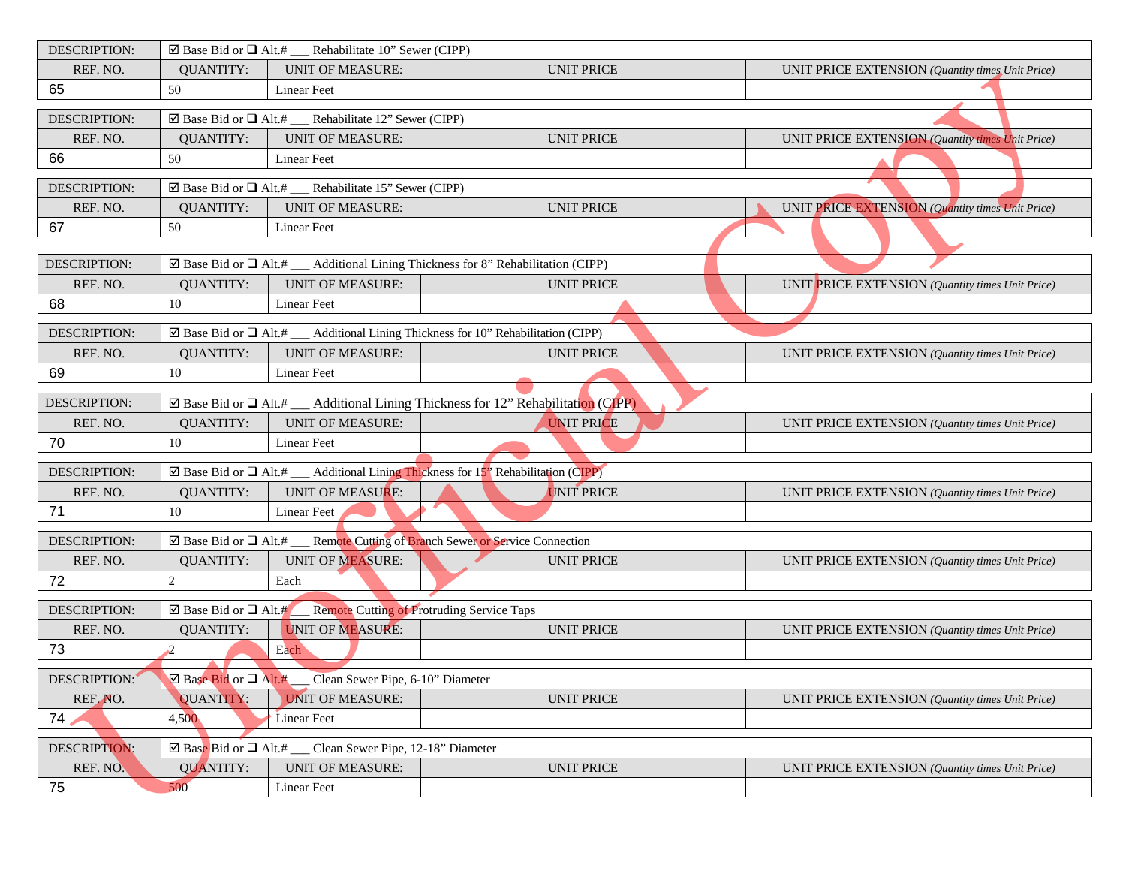| DESCRIPTION:        | $\boxtimes$ Base Bid or $\Box$ Alt.# ____ Rehabilitate 10" Sewer (CIPP) |                                                                                    |                                                                                                   |                                                  |
|---------------------|-------------------------------------------------------------------------|------------------------------------------------------------------------------------|---------------------------------------------------------------------------------------------------|--------------------------------------------------|
| REF. NO.            | <b>QUANTITY:</b>                                                        | <b>UNIT OF MEASURE:</b>                                                            | <b>UNIT PRICE</b>                                                                                 | UNIT PRICE EXTENSION (Quantity times Unit Price) |
| 65                  | 50                                                                      | <b>Linear Feet</b>                                                                 |                                                                                                   |                                                  |
| <b>DESCRIPTION:</b> |                                                                         | $\boxtimes$ Base Bid or $\Box$ Alt.# _____ Rehabilitate 12" Sewer (CIPP)           |                                                                                                   |                                                  |
| REF. NO.            | <b>QUANTITY:</b>                                                        | <b>UNIT OF MEASURE:</b>                                                            | <b>UNIT PRICE</b>                                                                                 | UNIT PRICE EXTENSION (Quantity times Unit Price) |
| 66                  | 50                                                                      | <b>Linear Feet</b>                                                                 |                                                                                                   |                                                  |
| <b>DESCRIPTION:</b> |                                                                         | $\overline{\boxtimes}$ Base Bid or $\Box$ Alt.# ____ Rehabilitate 15" Sewer (CIPP) |                                                                                                   |                                                  |
| REF. NO.            | <b>QUANTITY:</b>                                                        | <b>UNIT OF MEASURE:</b>                                                            | <b>UNIT PRICE</b>                                                                                 | UNIT PRICE EXTENSION (Quantity times Unit Price) |
| 67                  | 50                                                                      | Linear Feet                                                                        |                                                                                                   |                                                  |
|                     |                                                                         |                                                                                    |                                                                                                   |                                                  |
| DESCRIPTION:        |                                                                         |                                                                                    | $\boxtimes$ Base Bid or $\Box$ Alt.# ___ Additional Lining Thickness for 8" Rehabilitation (CIPP) |                                                  |
| REF. NO.            | <b>QUANTITY:</b>                                                        | <b>UNIT OF MEASURE:</b>                                                            | <b>UNIT PRICE</b>                                                                                 | UNIT PRICE EXTENSION (Quantity times Unit Price) |
| 68                  | 10                                                                      | <b>Linear Feet</b>                                                                 |                                                                                                   |                                                  |
| <b>DESCRIPTION:</b> |                                                                         |                                                                                    | $\boxtimes$ Base Bid or $\Box$ Alt.# __ Additional Lining Thickness for 10" Rehabilitation (CIPP) |                                                  |
| REF. NO.            | <b>QUANTITY:</b>                                                        | <b>UNIT OF MEASURE:</b>                                                            | <b>UNIT PRICE</b>                                                                                 | UNIT PRICE EXTENSION (Quantity times Unit Price) |
| 69                  | 10                                                                      | Linear Feet                                                                        |                                                                                                   |                                                  |
| DESCRIPTION:        |                                                                         |                                                                                    | $\boxtimes$ Base Bid or $\Box$ Alt.# __ Additional Lining Thickness for 12" Rehabilitation (CIPP) |                                                  |
| REF. NO.            | <b>QUANTITY:</b>                                                        | <b>UNIT OF MEASURE:</b>                                                            | <b>UNIT PRICE</b>                                                                                 | UNIT PRICE EXTENSION (Quantity times Unit Price) |
| 70                  | 10                                                                      | <b>Linear Feet</b>                                                                 |                                                                                                   |                                                  |
| <b>DESCRIPTION:</b> |                                                                         |                                                                                    | $\boxtimes$ Base Bid or $\Box$ Alt.# __ Additional Lining Thickness for 15" Rehabilitation (CIPP) |                                                  |
| REF. NO.            | <b>QUANTITY:</b>                                                        | UNIT OF MEASURE:                                                                   | <b>UNIT PRICE</b>                                                                                 | UNIT PRICE EXTENSION (Quantity times Unit Price) |
| 71                  | 10                                                                      | Linear Feet                                                                        |                                                                                                   |                                                  |
|                     |                                                                         |                                                                                    |                                                                                                   |                                                  |
| <b>DESCRIPTION:</b> |                                                                         |                                                                                    | $\boxtimes$ Base Bid or $\Box$ Alt.# __ Remote Cutting of Branch Sewer or Service Connection      |                                                  |
| REF. NO.            | <b>QUANTITY:</b>                                                        | <b>UNIT OF MEASURE:</b>                                                            | <b>UNIT PRICE</b>                                                                                 | UNIT PRICE EXTENSION (Quantity times Unit Price) |
| 72                  | $\overline{c}$                                                          | Each                                                                               |                                                                                                   |                                                  |
| <b>DESCRIPTION:</b> |                                                                         | $\boxtimes$ Base Bid or $\Box$ Alt.# Remote Cutting of Protruding Service Taps     |                                                                                                   |                                                  |
| REF. NO.            | <b>QUANTITY:</b>                                                        | <b>UNIT OF MEASURE:</b>                                                            | <b>UNIT PRICE</b>                                                                                 | UNIT PRICE EXTENSION (Quantity times Unit Price) |
| 73                  |                                                                         | Each                                                                               |                                                                                                   |                                                  |
|                     |                                                                         | DESCRIPTION: Base Bid or D Alt.# Clean Sewer Pipe, 6-10" Diameter                  |                                                                                                   |                                                  |
| REF. NO.            | QUANTITY:                                                               | <b>UNIT OF MEASURE:</b>                                                            | <b>UNIT PRICE</b>                                                                                 | UNIT PRICE EXTENSION (Quantity times Unit Price) |
| 74                  | 4,500                                                                   | Linear Feet                                                                        |                                                                                                   |                                                  |
| DESCRIPTION:        |                                                                         | $\boxtimes$ Base Bid or $\Box$ Alt.# ___ Clean Sewer Pipe, 12-18" Diameter         |                                                                                                   |                                                  |
| REF. NO.            | <b>QUANTITY:</b>                                                        | <b>UNIT OF MEASURE:</b>                                                            | <b>UNIT PRICE</b>                                                                                 | UNIT PRICE EXTENSION (Quantity times Unit Price) |
| 75                  | 500                                                                     | Linear Feet                                                                        |                                                                                                   |                                                  |
|                     |                                                                         |                                                                                    |                                                                                                   |                                                  |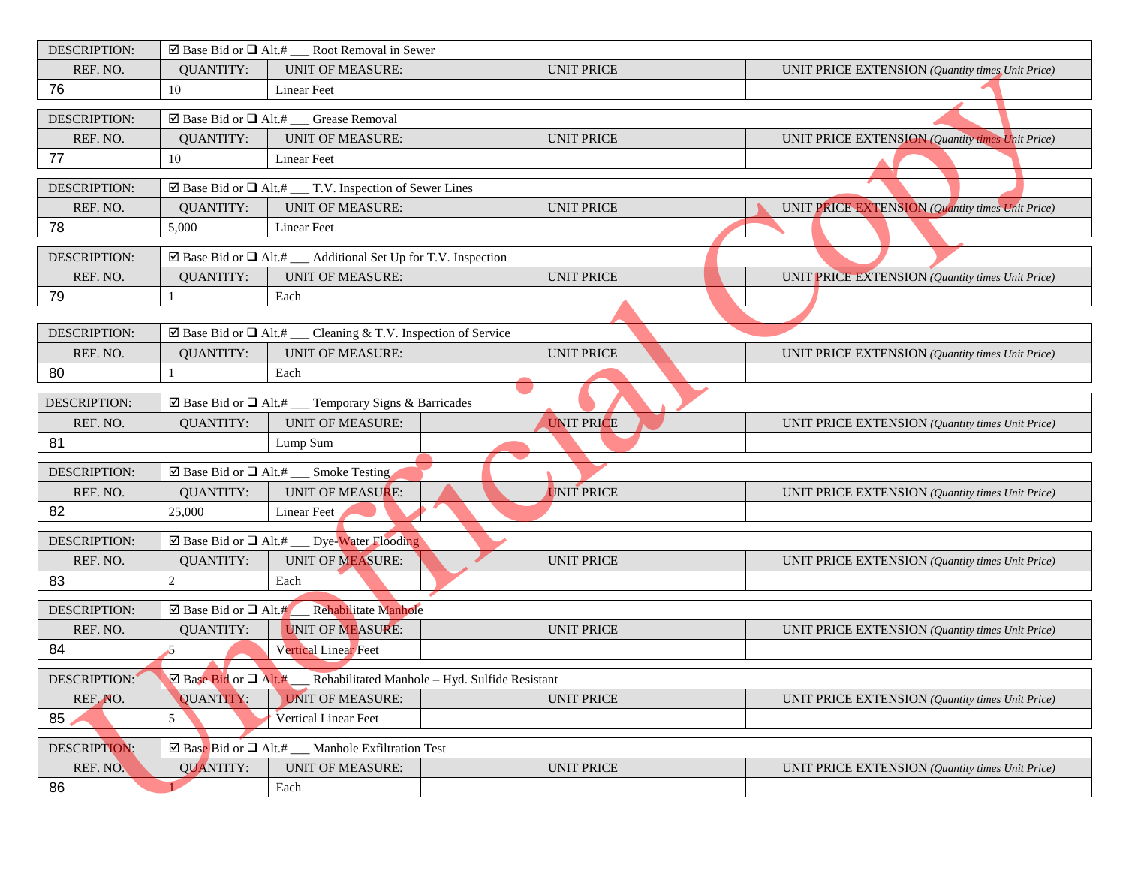| DESCRIPTION:        | $\overline{\boxtimes}$ Base Bid or $\Box$ Alt.# ___ Root Removal in Sewer |                                                                                     |                   |                                                                  |
|---------------------|---------------------------------------------------------------------------|-------------------------------------------------------------------------------------|-------------------|------------------------------------------------------------------|
| REF. NO.            | <b>OUANTITY:</b>                                                          | <b>UNIT OF MEASURE:</b>                                                             | <b>UNIT PRICE</b> | UNIT PRICE EXTENSION (Quantity times Unit Price)                 |
| 76                  | 10                                                                        | <b>Linear Feet</b>                                                                  |                   |                                                                  |
| <b>DESCRIPTION:</b> |                                                                           | $\boxtimes$ Base Bid or $\Box$ Alt.# __ Grease Removal                              |                   |                                                                  |
| REF. NO.            | <b>QUANTITY:</b>                                                          | <b>UNIT OF MEASURE:</b>                                                             | <b>UNIT PRICE</b> | <b>UNIT PRICE EXTENSION (Quantity times Unit Price)</b>          |
| 77                  | 10                                                                        | <b>Linear Feet</b>                                                                  |                   |                                                                  |
| <b>DESCRIPTION:</b> |                                                                           | $\overline{\boxtimes}$ Base Bid or $\Box$ Alt.# ___ T.V. Inspection of Sewer Lines  |                   |                                                                  |
| REF. NO.            | <b>QUANTITY:</b>                                                          | <b>UNIT OF MEASURE:</b>                                                             | <b>UNIT PRICE</b> | UNIT PRICE EXTENSION (Quantity times Unit Price)                 |
| 78                  | 5,000                                                                     | Linear Feet                                                                         |                   |                                                                  |
| <b>DESCRIPTION:</b> |                                                                           | $\boxtimes$ Base Bid or $\Box$ Alt.# __ Additional Set Up for T.V. Inspection       |                   |                                                                  |
| REF. NO.            | <b>QUANTITY:</b>                                                          | <b>UNIT OF MEASURE:</b>                                                             | <b>UNIT PRICE</b> | UNIT PRICE EXTENSION (Quantity times Unit Price)                 |
| 79                  |                                                                           | Each                                                                                |                   |                                                                  |
|                     |                                                                           |                                                                                     |                   |                                                                  |
| <b>DESCRIPTION:</b> |                                                                           | $\boxtimes$ Base Bid or $\Box$ Alt.# ___ Cleaning & T.V. Inspection of Service      |                   |                                                                  |
| REF. NO.            | <b>QUANTITY:</b>                                                          | <b>UNIT OF MEASURE:</b>                                                             | <b>UNIT PRICE</b> | UNIT PRICE EXTENSION (Quantity times Unit Price)                 |
| 80                  |                                                                           | Each                                                                                |                   |                                                                  |
| <b>DESCRIPTION:</b> |                                                                           | $\boxtimes$ Base Bid or $\Box$ Alt.# __ Temporary Signs & Barricades                |                   |                                                                  |
| REF. NO.            | <b>QUANTITY:</b>                                                          | <b>UNIT OF MEASURE:</b>                                                             | <b>UNIT PRICE</b> | UNIT PRICE EXTENSION (Quantity times Unit Price)                 |
| 81                  |                                                                           | Lump Sum                                                                            |                   |                                                                  |
| DESCRIPTION:        |                                                                           | $\boxtimes$ Base Bid or $\Box$ Alt.# ____ Smoke Testing                             |                   |                                                                  |
| REF. NO.            | <b>QUANTITY:</b>                                                          | <b>UNIT OF MEASURE:</b>                                                             | UNIT PRICE        | UNIT PRICE EXTENSION (Quantity times Unit Price)                 |
| 82                  | 25,000                                                                    | Linear Feet                                                                         |                   |                                                                  |
| <b>DESCRIPTION:</b> |                                                                           | ⊠ Base Bid or Q Alt.# __ Dye-Water Flooding                                         |                   |                                                                  |
| REF. NO.            | <b>QUANTITY:</b>                                                          | <b>UNIT OF MEASURE:</b>                                                             | <b>UNIT PRICE</b> | UNIT PRICE EXTENSION (Quantity times Unit Price)                 |
| 83                  | $\mathbf{2}$                                                              | Each                                                                                |                   |                                                                  |
| <b>DESCRIPTION:</b> | $\boxtimes$ Base Bid or $\Box$ Alt.#                                      | Rehabilitate Manhole                                                                |                   |                                                                  |
| REF. NO.            | <b>QUANTITY:</b>                                                          | <b>UNIT OF MEASURE:</b>                                                             | <b>UNIT PRICE</b> | UNIT PRICE EXTENSION (Quantity times Unit Price)                 |
| 84                  | $\overline{5}$                                                            | Vertical Linear Feet                                                                |                   |                                                                  |
| DESCRIPTION:        |                                                                           | $\boxtimes$ Base Bid or $\Box$ Alt.# Rehabilitated Manhole – Hyd. Sulfide Resistant |                   |                                                                  |
| REF. NO.            | QUANTITY:                                                                 | <b>UNIT OF MEASURE:</b>                                                             | <b>UNIT PRICE</b> | <b>UNIT PRICE EXTENSION</b> ( <i>Quantity times Unit Price</i> ) |
| 85                  | 5                                                                         | Vertical Linear Feet                                                                |                   |                                                                  |
| DESCRIPTION:        |                                                                           | ⊠ Base Bid or $\Box$ Alt.# ___ Manhole Exfiltration Test                            |                   |                                                                  |
| REF. NO.            | <b>QUANTITY:</b>                                                          | <b>UNIT OF MEASURE:</b>                                                             | <b>UNIT PRICE</b> | UNIT PRICE EXTENSION (Quantity times Unit Price)                 |
| 86                  |                                                                           | Each                                                                                |                   |                                                                  |
|                     |                                                                           |                                                                                     |                   |                                                                  |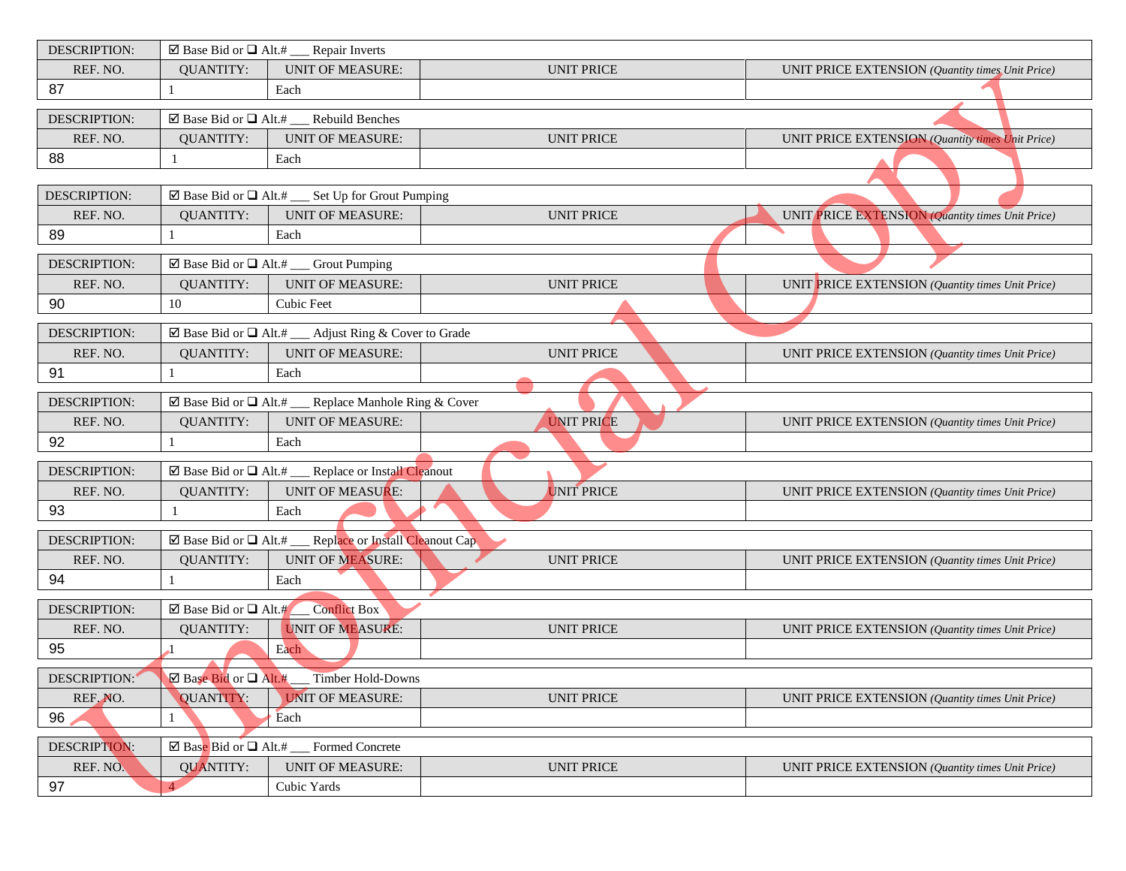| <b>DESCRIPTION:</b>             |                                      | ⊠ Base Bid or $\Box$ Alt.# ___ Repair Inverts                                                    |                   |                                                  |
|---------------------------------|--------------------------------------|--------------------------------------------------------------------------------------------------|-------------------|--------------------------------------------------|
| REF. NO.                        | <b>QUANTITY:</b>                     | <b>UNIT OF MEASURE:</b>                                                                          | <b>UNIT PRICE</b> | UNIT PRICE EXTENSION (Quantity times Unit Price) |
| 87                              |                                      | Each                                                                                             |                   |                                                  |
| DESCRIPTION:                    |                                      | ⊠ Base Bid or $\Box$ Alt.# ___ Rebuild Benches                                                   |                   |                                                  |
| REF. NO.                        | <b>QUANTITY:</b>                     | <b>UNIT OF MEASURE:</b>                                                                          | <b>UNIT PRICE</b> | UNIT PRICE EXTENSION (Quantity times Unit Price) |
| 88                              | $\overline{1}$                       | Each                                                                                             |                   |                                                  |
|                                 |                                      |                                                                                                  |                   |                                                  |
| <b>DESCRIPTION:</b>             |                                      | $\boxtimes$ Base Bid or $\Box$ Alt.# ___ Set Up for Grout Pumping                                |                   |                                                  |
| REF. NO.                        | <b>QUANTITY:</b>                     | <b>UNIT OF MEASURE:</b>                                                                          | <b>UNIT PRICE</b> | UNIT PRICE EXTENSION (Quantity times Unit Price) |
| 89                              | 1                                    | Each                                                                                             |                   |                                                  |
| DESCRIPTION:                    |                                      | ⊠ Base Bid or $\Box$ Alt.# ___ Grout Pumping                                                     |                   |                                                  |
| REF. NO.                        | <b>QUANTITY:</b>                     | <b>UNIT OF MEASURE:</b>                                                                          | <b>UNIT PRICE</b> | UNIT PRICE EXTENSION (Quantity times Unit Price) |
| 90                              | 10                                   | Cubic Feet                                                                                       |                   |                                                  |
|                                 |                                      |                                                                                                  |                   |                                                  |
| <b>DESCRIPTION:</b><br>REF. NO. | <b>QUANTITY:</b>                     | $\boxtimes$ Base Bid or $\Box$ Alt.# ___ Adjust Ring & Cover to Grade<br><b>UNIT OF MEASURE:</b> | <b>UNIT PRICE</b> | UNIT PRICE EXTENSION (Quantity times Unit Price) |
| 91                              | 1                                    | Each                                                                                             |                   |                                                  |
|                                 |                                      |                                                                                                  |                   |                                                  |
| <b>DESCRIPTION:</b>             |                                      | $\boxtimes$ Base Bid or $\Box$ Alt.# __ Replace Manhole Ring & Cover                             |                   |                                                  |
| REF. NO.                        | <b>QUANTITY:</b>                     | <b>UNIT OF MEASURE:</b>                                                                          | <b>UNIT PRICE</b> | UNIT PRICE EXTENSION (Quantity times Unit Price) |
| 92                              |                                      | Each                                                                                             |                   |                                                  |
| <b>DESCRIPTION:</b>             |                                      | $\boxtimes$ Base Bid or $\Box$ Alt.# __ Replace or Install Cleanout                              |                   |                                                  |
| REF. NO.                        | <b>QUANTITY:</b>                     | <b>UNIT OF MEASURE:</b>                                                                          | <b>UNIT PRICE</b> | UNIT PRICE EXTENSION (Quantity times Unit Price) |
| 93                              |                                      | Each                                                                                             |                   |                                                  |
| <b>DESCRIPTION:</b>             |                                      | $\boxtimes$ Base Bid or $\Box$ Alt.# __ Replace or Install Cleanout Cap                          |                   |                                                  |
| REF. NO.                        | <b>QUANTITY:</b>                     | <b>UNIT OF MEASURE:</b>                                                                          | <b>UNIT PRICE</b> | UNIT PRICE EXTENSION (Quantity times Unit Price) |
| 94                              |                                      | Each                                                                                             |                   |                                                  |
|                                 |                                      |                                                                                                  |                   |                                                  |
| <b>DESCRIPTION:</b>             | $\boxtimes$ Base Bid or $\Box$ Alt.# | Conflict Box                                                                                     |                   |                                                  |
| REF. NO.                        | <b>QUANTITY:</b>                     | <b>UNIT OF MEASURE:</b>                                                                          | <b>UNIT PRICE</b> | UNIT PRICE EXTENSION (Quantity times Unit Price) |
| 95                              |                                      | Each                                                                                             |                   |                                                  |
| DESCRIPTION:                    |                                      | $\boxtimes$ Base Bid or $\Box$ Alt.# __ Timber Hold-Downs                                        |                   |                                                  |
| REF. NO.                        | QUANTITY:                            | <b>UNIT OF MEASURE:</b>                                                                          | <b>UNIT PRICE</b> | UNIT PRICE EXTENSION (Quantity times Unit Price) |
| 96                              | 1                                    | Each                                                                                             |                   |                                                  |
| DESCRIPTION:                    |                                      | $\boxtimes$ Base Bid or $\Box$ Alt.# __ Formed Concrete                                          |                   |                                                  |
| REF. NO.                        | <b>QUANTITY:</b>                     | <b>UNIT OF MEASURE:</b>                                                                          | <b>UNIT PRICE</b> | UNIT PRICE EXTENSION (Quantity times Unit Price) |
| 97                              | $\overline{4}$                       | Cubic Yards                                                                                      |                   |                                                  |
|                                 |                                      |                                                                                                  |                   |                                                  |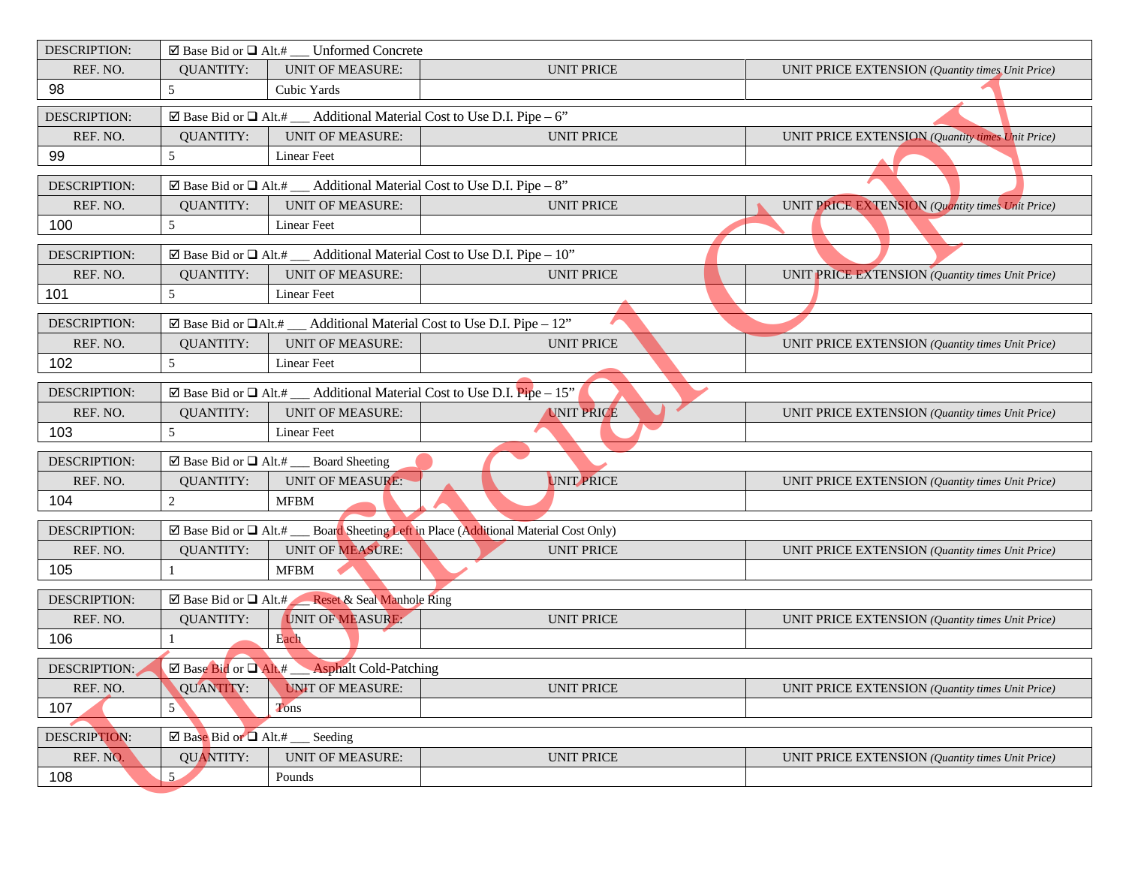| <b>DESCRIPTION:</b> |                                                 | $\boxtimes$ Base Bid or $\Box$ Alt.# __ Unformed Concrete                                |                                                                                                       |                                                  |
|---------------------|-------------------------------------------------|------------------------------------------------------------------------------------------|-------------------------------------------------------------------------------------------------------|--------------------------------------------------|
| REF. NO.            | <b>QUANTITY:</b>                                | <b>UNIT OF MEASURE:</b>                                                                  | <b>UNIT PRICE</b>                                                                                     | UNIT PRICE EXTENSION (Quantity times Unit Price) |
| 98                  | 5                                               | Cubic Yards                                                                              |                                                                                                       |                                                  |
| DESCRIPTION:        |                                                 | $\boxtimes$ Base Bid or $\Box$ Alt.# __ Additional Material Cost to Use D.I. Pipe – 6"   |                                                                                                       |                                                  |
| REF. NO.            | <b>QUANTITY:</b>                                | <b>UNIT OF MEASURE:</b>                                                                  | <b>UNIT PRICE</b>                                                                                     | UNIT PRICE EXTENSION (Quantity times Unit Price) |
| 99                  | 5                                               | <b>Linear Feet</b>                                                                       |                                                                                                       |                                                  |
| DESCRIPTION:        |                                                 | $\boxtimes$ Base Bid or $\Box$ Alt.# ___ Additional Material Cost to Use D.I. Pipe – 8"  |                                                                                                       |                                                  |
| REF. NO.            | <b>QUANTITY:</b>                                | <b>UNIT OF MEASURE:</b>                                                                  | <b>UNIT PRICE</b>                                                                                     | UNIT PRICE EXTENSION (Quantity times Unit Price) |
| 100                 | 5                                               | <b>Linear Feet</b>                                                                       |                                                                                                       |                                                  |
| <b>DESCRIPTION:</b> |                                                 | $\boxtimes$ Base Bid or $\Box$ Alt.# __ Additional Material Cost to Use D.I. Pipe – 10"  |                                                                                                       |                                                  |
| REF. NO.            | <b>QUANTITY:</b>                                | <b>UNIT OF MEASURE:</b>                                                                  | <b>UNIT PRICE</b>                                                                                     | UNIT PRICE EXTENSION (Quantity times Unit Price) |
| 101                 | 5                                               | <b>Linear Feet</b>                                                                       |                                                                                                       |                                                  |
| DESCRIPTION:        |                                                 | $\boxtimes$ Base Bid or $\Box$ Alt.# ___ Additional Material Cost to Use D.I. Pipe - 12" |                                                                                                       |                                                  |
| REF. NO.            | <b>QUANTITY:</b>                                | <b>UNIT OF MEASURE:</b>                                                                  | <b>UNIT PRICE</b>                                                                                     | UNIT PRICE EXTENSION (Quantity times Unit Price) |
| 102                 | 5                                               | <b>Linear Feet</b>                                                                       |                                                                                                       |                                                  |
| <b>DESCRIPTION:</b> |                                                 | ⊠ Base Bid or $\Box$ Alt.# ___ Additional Material Cost to Use D.I. Pipe – 15"           |                                                                                                       |                                                  |
| REF. NO.            | <b>QUANTITY:</b>                                | <b>UNIT OF MEASURE:</b>                                                                  | <b>UNIT PRICE</b>                                                                                     | UNIT PRICE EXTENSION (Quantity times Unit Price) |
| 103                 | 5                                               | Linear Feet                                                                              |                                                                                                       |                                                  |
| DESCRIPTION:        |                                                 | $\boxtimes$ Base Bid or $\Box$ Alt.# ___ Board Sheeting                                  |                                                                                                       |                                                  |
| REF. NO.            | <b>QUANTITY:</b>                                | <b>UNIT OF MEASURE:</b>                                                                  | UNIT PRICE                                                                                            | UNIT PRICE EXTENSION (Quantity times Unit Price) |
| 104                 | $\overline{c}$                                  | <b>MFBM</b>                                                                              |                                                                                                       |                                                  |
| <b>DESCRIPTION:</b> |                                                 |                                                                                          | $\boxtimes$ Base Bid or $\Box$ Alt.# ___ Board Sheeting Left in Place (Additional Material Cost Only) |                                                  |
| REF. NO.            | <b>QUANTITY:</b>                                | UNIT OF MEASURE:                                                                         | <b>UNIT PRICE</b>                                                                                     | UNIT PRICE EXTENSION (Quantity times Unit Price) |
| 105                 |                                                 | <b>MFBM</b>                                                                              |                                                                                                       |                                                  |
|                     |                                                 |                                                                                          |                                                                                                       |                                                  |
| <b>DESCRIPTION:</b> |                                                 | ⊠ Base Bid or Q Alt.# Reset & Seal Manhole Ring                                          |                                                                                                       |                                                  |
| REF. NO.            | <b>QUANTITY:</b>                                | UNIT OF MEASURE:                                                                         | <b>UNIT PRICE</b>                                                                                     | UNIT PRICE EXTENSION (Quantity times Unit Price) |
| 106                 |                                                 | Each                                                                                     |                                                                                                       |                                                  |
| DESCRIPTION:        |                                                 | ⊠ Base Bid or Q Alt.# Asphalt Cold-Patching                                              |                                                                                                       |                                                  |
| REF. NO.            | <b>QUANTITY:</b>                                | <b>UNIT OF MEASURE:</b>                                                                  | <b>UNIT PRICE</b>                                                                                     | UNIT PRICE EXTENSION (Quantity times Unit Price) |
| 107                 | $5^{\circ}$                                     | Tons                                                                                     |                                                                                                       |                                                  |
| DESCRIPTION:        | $\boxtimes$ Base Bid or $\Box$ Alt.# __ Seeding |                                                                                          |                                                                                                       |                                                  |
| REF. NO.            | <b>QUANTITY:</b>                                | <b>UNIT OF MEASURE:</b>                                                                  | <b>UNIT PRICE</b>                                                                                     | UNIT PRICE EXTENSION (Quantity times Unit Price) |
| 108                 | 5                                               | Pounds                                                                                   |                                                                                                       |                                                  |
|                     |                                                 |                                                                                          |                                                                                                       |                                                  |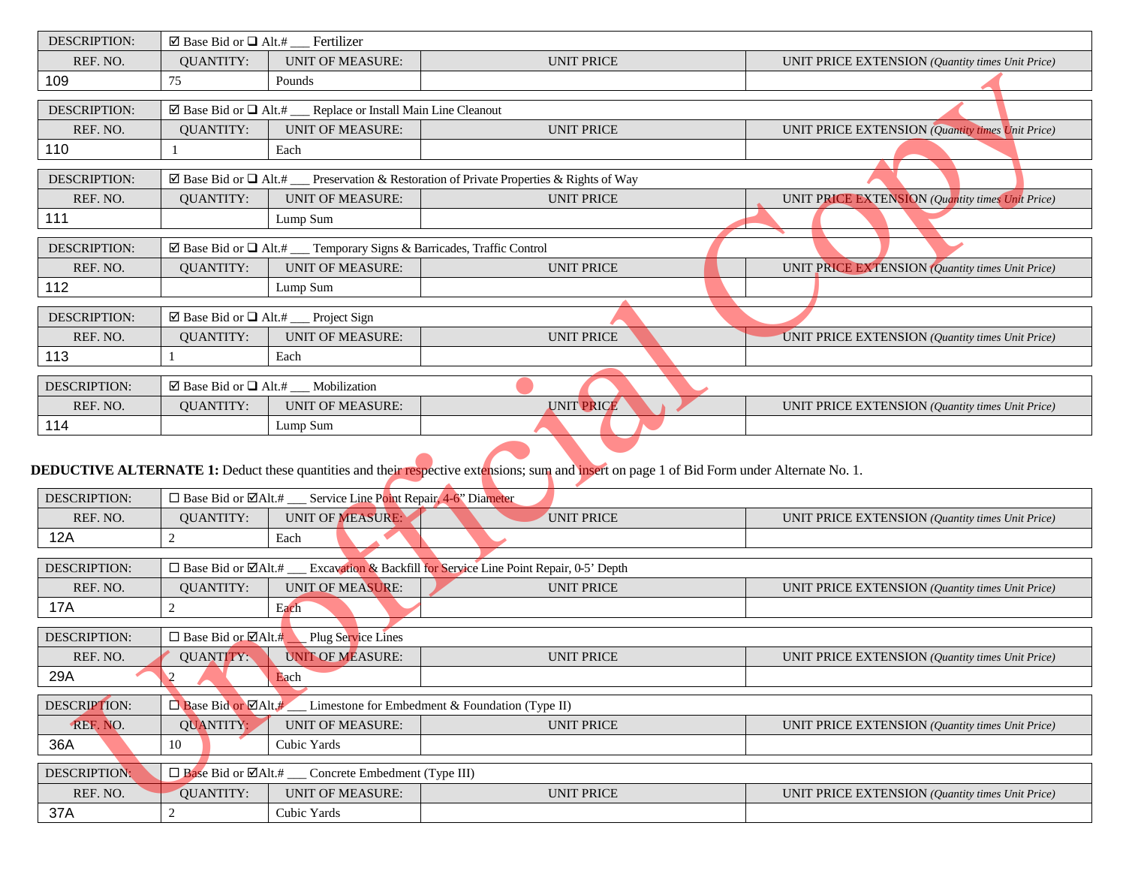| DESCRIPTION:        | ⊠ Base Bid or $\Box$ Alt.# __ Fertilizer |                                                                                       |                                                                                                                                             |                                                         |
|---------------------|------------------------------------------|---------------------------------------------------------------------------------------|---------------------------------------------------------------------------------------------------------------------------------------------|---------------------------------------------------------|
| REF. NO.            | <b>QUANTITY:</b>                         | <b>UNIT OF MEASURE:</b>                                                               | <b>UNIT PRICE</b>                                                                                                                           | UNIT PRICE EXTENSION (Quantity times Unit Price)        |
| 109                 | 75                                       | Pounds                                                                                |                                                                                                                                             |                                                         |
| <b>DESCRIPTION:</b> | ⊠ Base Bid or $\Box$ Alt.#               | Replace or Install Main Line Cleanout                                                 |                                                                                                                                             |                                                         |
| REF. NO.            | <b>QUANTITY:</b>                         | <b>UNIT OF MEASURE:</b>                                                               | <b>UNIT PRICE</b>                                                                                                                           | UNIT PRICE EXTENSION (Quantity times Unit Price)        |
| 110                 |                                          | Each                                                                                  |                                                                                                                                             |                                                         |
| <b>DESCRIPTION:</b> | $\boxtimes$ Base Bid or $\Box$ Alt.#     |                                                                                       | Preservation & Restoration of Private Properties & Rights of Way                                                                            |                                                         |
| REF. NO.            | <b>QUANTITY:</b>                         | <b>UNIT OF MEASURE:</b>                                                               | <b>UNIT PRICE</b>                                                                                                                           | UNIT PRICE EXTENSION (Quantity times Unit Price)        |
| 111                 |                                          | Lump Sum                                                                              |                                                                                                                                             |                                                         |
| <b>DESCRIPTION:</b> |                                          | $\boxtimes$ Base Bid or $\Box$ Alt.# __ Temporary Signs & Barricades, Traffic Control |                                                                                                                                             |                                                         |
| REF. NO.            | <b>QUANTITY:</b>                         | <b>UNIT OF MEASURE:</b>                                                               | <b>UNIT PRICE</b>                                                                                                                           | UNIT PRICE EXTENSION (Quantity times Unit Price)        |
| 112                 |                                          | Lump Sum                                                                              |                                                                                                                                             |                                                         |
| <b>DESCRIPTION:</b> |                                          | ⊠ Base Bid or $\Box$ Alt.# __ Project Sign                                            |                                                                                                                                             |                                                         |
| REF. NO.            | <b>QUANTITY:</b>                         | <b>UNIT OF MEASURE:</b>                                                               | <b>UNIT PRICE</b>                                                                                                                           | UNIT PRICE EXTENSION (Quantity times Unit Price)        |
| 113                 |                                          | Each                                                                                  |                                                                                                                                             |                                                         |
| <b>DESCRIPTION:</b> |                                          | $\boxtimes$ Base Bid or $\Box$ Alt.# ___ Mobilization                                 |                                                                                                                                             |                                                         |
| REF. NO.            | <b>QUANTITY:</b>                         | <b>UNIT OF MEASURE:</b>                                                               | <b>UNIT PRICE</b>                                                                                                                           | UNIT PRICE EXTENSION (Quantity times Unit Price)        |
| 114                 |                                          | Lump Sum                                                                              |                                                                                                                                             |                                                         |
|                     |                                          |                                                                                       | DEDUCTIVE ALTERNATE 1: Deduct these quantities and their respective extensions; sum and insert on page 1 of Bid Form under Alternate No. 1. |                                                         |
| <b>DESCRIPTION:</b> |                                          | □ Base Bid or $\boxtimes$ Alt.# __ Service Line Point Repair, 4-6" Diameter           |                                                                                                                                             |                                                         |
| REF. NO.            | <b>QUANTITY:</b>                         | <b>UNIT OF MEASURE:</b>                                                               | <b>UNIT PRICE</b>                                                                                                                           | UNIT PRICE EXTENSION (Quantity times Unit Price)        |
| 12A                 | $\sqrt{2}$                               | Each                                                                                  |                                                                                                                                             |                                                         |
| <b>DESCRIPTION:</b> |                                          |                                                                                       | □ Base Bid or ØAlt.# __ Excavation & Backfill for Service Line Point Repair, 0-5' Depth                                                     |                                                         |
| REF. NO.            | <b>QUANTITY:</b>                         | <b>UNIT OF MEASURE:</b>                                                               | <b>UNIT PRICE</b>                                                                                                                           | UNIT PRICE EXTENSION (Quantity times Unit Price)        |
| <b>17A</b>          | $\sqrt{2}$                               | Each                                                                                  |                                                                                                                                             |                                                         |
| <b>DESCRIPTION:</b> | $\Box$ Base Bid or $\Box$ Alt.#          | Plug Service Lines                                                                    |                                                                                                                                             |                                                         |
| REF. NO.            | QUANTITY:                                | <b>UNIT OF MEASURE:</b>                                                               | <b>UNIT PRICE</b>                                                                                                                           | UNIT PRICE EXTENSION (Quantity times Unit Price)        |
| 29A                 | $\sqrt{2}$                               | Each                                                                                  |                                                                                                                                             |                                                         |
| DESCRIPTION:        | $\Box$ Base Bid or $\Box$ Alt.#          |                                                                                       | Limestone for Embedment & Foundation (Type II)                                                                                              |                                                         |
| REF. NO.            | <b>QUANTITY:</b>                         | <b>UNIT OF MEASURE:</b>                                                               | <b>UNIT PRICE</b>                                                                                                                           | UNIT PRICE EXTENSION (Quantity times Unit Price)        |
| 36A                 | $10\,$                                   | Cubic Yards                                                                           |                                                                                                                                             |                                                         |
| <b>DESCRIPTION:</b> | $\Box$ Base Bid or $\Box$ Alt.# ___      | Concrete Embedment (Type III)                                                         |                                                                                                                                             |                                                         |
| REF. NO.            | <b>QUANTITY:</b>                         | <b>UNIT OF MEASURE:</b>                                                               | <b>UNIT PRICE</b>                                                                                                                           | <b>UNIT PRICE EXTENSION</b> (Ouantity times Unit Price) |
| 37A                 | $\overline{2}$                           | Cubic Yards                                                                           |                                                                                                                                             |                                                         |

## **DEDUCTIVE ALTERNATE 1:** Deduct these quantities and their respective extensions; sum and insert on page 1 of Bid Form under Alternate No. 1.

| <b>DESCRIPTION:</b> |                                 | $\Box$ Base Bid or $\Box$ Alt.#<br>Service Line Point Repair, 4-6" Diameter |                                                                 |                                                  |  |
|---------------------|---------------------------------|-----------------------------------------------------------------------------|-----------------------------------------------------------------|--------------------------------------------------|--|
| REF. NO.            | QUANTITY:                       | <b>UNIT OF MEASURE:</b>                                                     | <b>UNIT PRICE</b>                                               | UNIT PRICE EXTENSION (Quantity times Unit Price) |  |
| 12A                 |                                 | Each                                                                        |                                                                 |                                                  |  |
|                     |                                 |                                                                             |                                                                 |                                                  |  |
| <b>DESCRIPTION:</b> | $\Box$ Base Bid or $\Box$ Alt.# |                                                                             | Excavation & Backfill for Service Line Point Repair, 0-5' Depth |                                                  |  |
| REF. NO.            | <b>OUANTITY:</b>                | <b>UNIT OF MEASURE:</b>                                                     | <b>UNIT PRICE</b>                                               | UNIT PRICE EXTENSION (Quantity times Unit Price) |  |
| <b>17A</b>          |                                 | Each                                                                        |                                                                 |                                                  |  |
|                     |                                 |                                                                             |                                                                 |                                                  |  |
| <b>DESCRIPTION:</b> | $\Box$ Base Bid or $\Box$ Alt.# | Plug Service Lines                                                          |                                                                 |                                                  |  |
| REF. NO.            | QUANTITY:                       | <b>UNIT OF MEASURE:</b>                                                     | <b>UNIT PRICE</b>                                               | UNIT PRICE EXTENSION (Quantity times Unit Price) |  |
| 29A                 |                                 | Each                                                                        |                                                                 |                                                  |  |
|                     |                                 |                                                                             |                                                                 |                                                  |  |
| <b>DESCRIPTION:</b> | Base Bid or ØAlt.#              |                                                                             | Limestone for Embedment & Foundation (Type II)                  |                                                  |  |
| REF. NO.            | QUANTITY:                       | <b>UNIT OF MEASURE:</b>                                                     | <b>UNIT PRICE</b>                                               | UNIT PRICE EXTENSION (Quantity times Unit Price) |  |
| 36A                 | 10                              | Cubic Yards                                                                 |                                                                 |                                                  |  |
|                     |                                 |                                                                             |                                                                 |                                                  |  |
| <b>DESCRIPTION:</b> |                                 | $\Box$ Base Bid or $\Box$ Alt.# __ Concrete Embedment (Type III)            |                                                                 |                                                  |  |
| REF. NO.            | <b>QUANTITY:</b>                | <b>UNIT OF MEASURE:</b>                                                     | <b>UNIT PRICE</b>                                               | UNIT PRICE EXTENSION (Quantity times Unit Price) |  |
| 37A                 |                                 | Cubic Yards                                                                 |                                                                 |                                                  |  |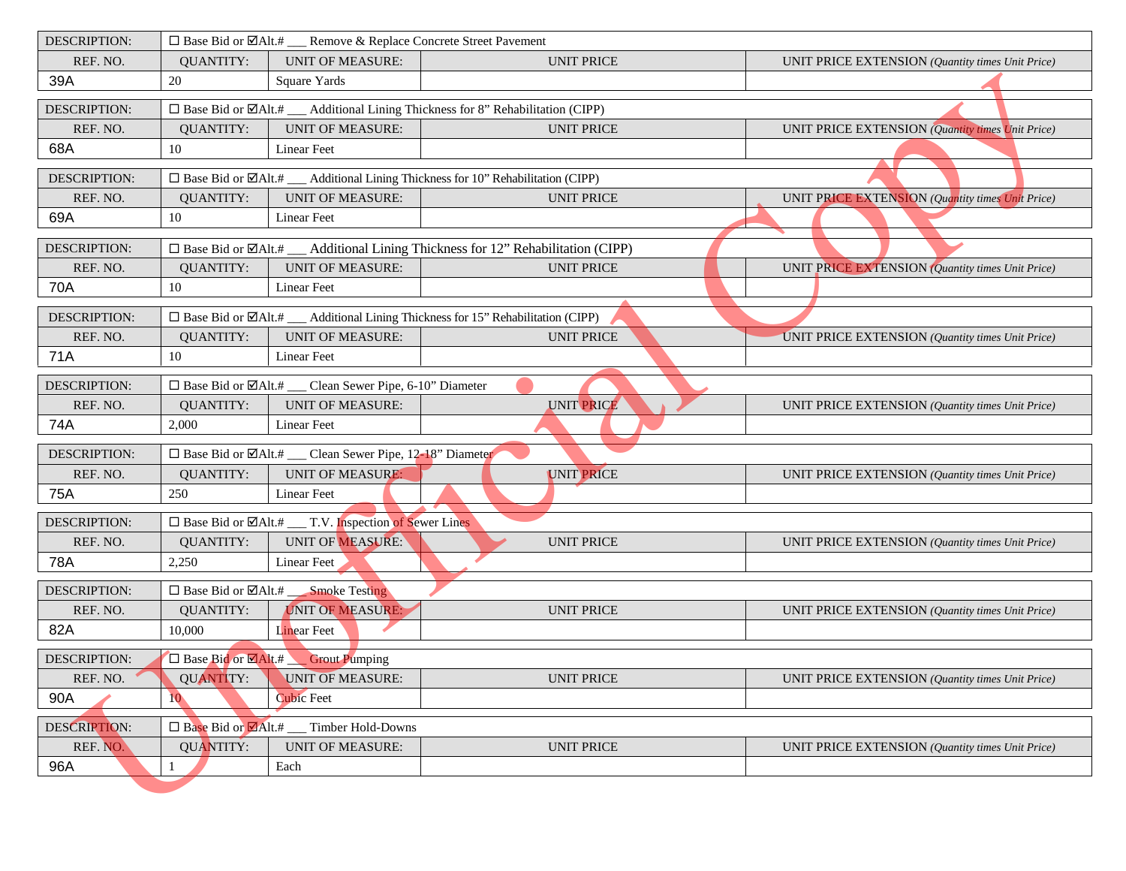| <b>DESCRIPTION:</b>                                           |                                                                                               | □ Base Bid or ØAlt.# __ Remove & Replace Concrete Street Pavement    |                                                                                               |                                                         |  |  |  |
|---------------------------------------------------------------|-----------------------------------------------------------------------------------------------|----------------------------------------------------------------------|-----------------------------------------------------------------------------------------------|---------------------------------------------------------|--|--|--|
| REF. NO.                                                      | <b>QUANTITY:</b>                                                                              | <b>UNIT OF MEASURE:</b>                                              | <b>UNIT PRICE</b>                                                                             | UNIT PRICE EXTENSION (Quantity times Unit Price)        |  |  |  |
| 39A                                                           | 20                                                                                            | Square Yards                                                         |                                                                                               |                                                         |  |  |  |
| DESCRIPTION:                                                  | □ Base Bid or $\Box$ Alt.# ___ Additional Lining Thickness for 8" Rehabilitation (CIPP)       |                                                                      |                                                                                               |                                                         |  |  |  |
| REF. NO.                                                      | <b>QUANTITY:</b>                                                                              | <b>UNIT OF MEASURE:</b>                                              | <b>UNIT PRICE</b>                                                                             | <b>UNIT PRICE EXTENSION</b> (Quantity times Unit Price) |  |  |  |
| 68A                                                           | $10\,$                                                                                        | Linear Feet                                                          |                                                                                               |                                                         |  |  |  |
| DESCRIPTION:                                                  |                                                                                               |                                                                      | $\Box$ Base Bid or $\Box$ Alt.# ___ Additional Lining Thickness for 10" Rehabilitation (CIPP) |                                                         |  |  |  |
| REF. NO.                                                      | <b>QUANTITY:</b>                                                                              | <b>UNIT OF MEASURE:</b>                                              | <b>UNIT PRICE</b>                                                                             | UNIT PRICE EXTENSION (Quantity times Unit Price)        |  |  |  |
| 69A                                                           | 10                                                                                            | Linear Feet                                                          |                                                                                               |                                                         |  |  |  |
| DESCRIPTION:                                                  |                                                                                               |                                                                      | $\Box$ Base Bid or $\Box$ Alt.# ___ Additional Lining Thickness for 12" Rehabilitation (CIPP) |                                                         |  |  |  |
| REF. NO.                                                      | <b>QUANTITY:</b>                                                                              | <b>UNIT OF MEASURE:</b>                                              | <b>UNIT PRICE</b>                                                                             | UNIT PRICE EXTENSION (Quantity times Unit Price)        |  |  |  |
| 70A                                                           | 10                                                                                            | Linear Feet                                                          |                                                                                               |                                                         |  |  |  |
| <b>DESCRIPTION:</b>                                           | $\Box$ Base Bid or $\Box$ Alt.# ___ Additional Lining Thickness for 15" Rehabilitation (CIPP) |                                                                      |                                                                                               |                                                         |  |  |  |
| REF. NO.                                                      | <b>QUANTITY:</b>                                                                              | <b>UNIT OF MEASURE:</b>                                              | <b>UNIT PRICE</b>                                                                             | UNIT PRICE EXTENSION (Quantity times Unit Price)        |  |  |  |
| 71A                                                           | 10                                                                                            | <b>Linear Feet</b>                                                   |                                                                                               |                                                         |  |  |  |
| DESCRIPTION:                                                  |                                                                                               | □ Base Bid or ØAlt.# __ Clean Sewer Pipe, 6-10" Diameter             |                                                                                               |                                                         |  |  |  |
| REF. NO.                                                      | <b>QUANTITY:</b>                                                                              | <b>UNIT OF MEASURE:</b>                                              | <b>UNIT PRICE</b>                                                                             | UNIT PRICE EXTENSION (Quantity times Unit Price)        |  |  |  |
| 74A                                                           | 2,000                                                                                         | Linear Feet                                                          |                                                                                               |                                                         |  |  |  |
| <b>DESCRIPTION:</b>                                           |                                                                                               | □ Base Bid or $\boxtimes$ Alt.# __ Clean Sewer Pipe, 12-18" Diameter |                                                                                               |                                                         |  |  |  |
| REF. NO.                                                      | <b>QUANTITY:</b>                                                                              | <b>UNIT OF MEASURE:</b>                                              | <b>UNIT PRICE</b>                                                                             | UNIT PRICE EXTENSION (Quantity times Unit Price)        |  |  |  |
| 75A                                                           | 250                                                                                           | Linear Feet                                                          |                                                                                               |                                                         |  |  |  |
| <b>DESCRIPTION:</b>                                           |                                                                                               | □ Base Bid or ØAlt.# __ T.V. Inspection of Sewer Lines               |                                                                                               |                                                         |  |  |  |
| REF. NO.                                                      | <b>QUANTITY:</b>                                                                              | <b>UNIT OF MEASURE:</b>                                              | <b>UNIT PRICE</b>                                                                             | UNIT PRICE EXTENSION (Quantity times Unit Price)        |  |  |  |
| 78A                                                           | 2,250                                                                                         | <b>Linear Feet</b>                                                   |                                                                                               |                                                         |  |  |  |
| <b>DESCRIPTION:</b><br>□ Base Bid or ØAlt.# ___ Smoke Testing |                                                                                               |                                                                      |                                                                                               |                                                         |  |  |  |
| REF. NO.                                                      | <b>QUANTITY:</b>                                                                              | <b>UNIT OF MEASURE:</b>                                              | <b>UNIT PRICE</b>                                                                             | UNIT PRICE EXTENSION (Quantity times Unit Price)        |  |  |  |
| 82A                                                           | 10,000                                                                                        | Linear Feet                                                          |                                                                                               |                                                         |  |  |  |
| <b>DESCRIPTION:</b>                                           |                                                                                               | □ Base Bid or <b>MAlt.#</b> Grout Pumping                            |                                                                                               |                                                         |  |  |  |
| REF. NO.                                                      | <b>QUANTITY:</b>                                                                              | <b>UNIT OF MEASURE:</b>                                              | <b>UNIT PRICE</b>                                                                             | UNIT PRICE EXTENSION (Quantity times Unit Price)        |  |  |  |
| 90A                                                           | 10                                                                                            | <b>Cubic Feet</b>                                                    |                                                                                               |                                                         |  |  |  |
| <b>DESCRIPTION:</b>                                           |                                                                                               | $\Box$ Base Bid or $\Box$ Alt.# Timber Hold-Downs                    |                                                                                               |                                                         |  |  |  |
| REF. NO.                                                      | <b>QUANTITY:</b>                                                                              | <b>UNIT OF MEASURE:</b>                                              | <b>UNIT PRICE</b>                                                                             | UNIT PRICE EXTENSION (Quantity times Unit Price)        |  |  |  |
| 96A                                                           |                                                                                               | Each                                                                 |                                                                                               |                                                         |  |  |  |
|                                                               |                                                                                               |                                                                      |                                                                                               |                                                         |  |  |  |
|                                                               |                                                                                               |                                                                      |                                                                                               |                                                         |  |  |  |